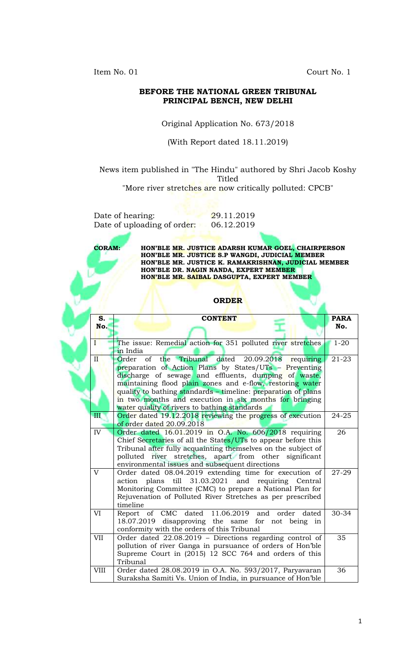Item No. 01 Court No. 1

### **BEFORE THE NATIONAL GREEN TRIBUNAL PRINCIPAL BENCH, NEW DELHI**

### Original Application No. 673/2018

### (With Report dated 18.11.2019)

News item published in "The Hindu" authored by Shri Jacob Koshy Titled

"More river stretches are now critically polluted: CPCB"

Date of hearing: 29.11.2019 Date of uploading of order: 06.12.2019

**CORAM: HON'BLE MR. JUSTICE ADARSH KUMAR GOEL, CHAIRPERSON HON'BLE MR. JUSTICE S.P WANGDI, JUDICIAL MEMBER HON'BLE MR. JUSTICE K. RAMAKRISHNAN, JUDICIAL MEMBER HON'BLE DR. NAGIN NANDA, EXPERT MEMBER HON'BLE MR. SAIBAL DASGUPTA, EXPERT MEMBER**

#### **ORDER**

| S.                      | <b>CONTENT</b>                                                                                                                                                                                                                                                                                                                                                                                                               | <b>PARA</b> |
|-------------------------|------------------------------------------------------------------------------------------------------------------------------------------------------------------------------------------------------------------------------------------------------------------------------------------------------------------------------------------------------------------------------------------------------------------------------|-------------|
| No.                     |                                                                                                                                                                                                                                                                                                                                                                                                                              | No.         |
| $\mathbf{I}$            | The issue: Remedial action for 351 polluted river stretches<br>in India                                                                                                                                                                                                                                                                                                                                                      | $1 - 20$    |
| $\overline{\mathbf{H}}$ | Tribunal dated 20.09.2018<br>$\alpha$<br>Order<br>the<br>requiring<br>preparation of Action Plans by States/UTs - Preventing<br>discharge of sewage and effluents, dumping of waste,<br>maintaining flood plain zones and e-flow, restoring water<br>quality to bathing standards – timeline: preparation of plans<br>in two months and execution in six months for bringing<br>water quality of rivers to bathing standards | $21 - 23$   |
| III                     | Order dated 19.12.2018 reviewing the progress of execution<br>of order dated 20.09.2018                                                                                                                                                                                                                                                                                                                                      | 24-25       |
| IV                      | Order dated $16.01.2019$ in O.A. No. $606/2018$ requiring<br>Chief Secretaries of all the States/UTs to appear before this<br>Tribunal after fully acquainting themselves on the subject of<br>polluted river stretches, apart from other significant<br>environmental issues and subsequent directions                                                                                                                      | 26          |
| V                       | Order dated 08.04.2019 extending time for execution of<br>action plans till 31.03.2021 and requiring Central<br>Monitoring Committee (CMC) to prepare a National Plan for<br>Rejuvenation of Polluted River Stretches as per prescribed<br>timeline                                                                                                                                                                          | 27-29       |
| VI                      | Report of CMC dated 11.06.2019 and<br>order<br>dated<br>18.07.2019 disapproving the same for not being in<br>conformity with the orders of this Tribunal                                                                                                                                                                                                                                                                     | 30-34       |
| <b>VII</b>              | Order dated 22.08.2019 - Directions regarding control of<br>pollution of river Ganga in pursuance of orders of Hon'ble<br>Supreme Court in (2015) 12 SCC 764 and orders of this<br>Tribunal                                                                                                                                                                                                                                  | 35          |
| <b>VIII</b>             | Order dated 28.08.2019 in O.A. No. 593/2017, Paryavaran<br>Suraksha Samiti Vs. Union of India, in pursuance of Hon'ble                                                                                                                                                                                                                                                                                                       | 36          |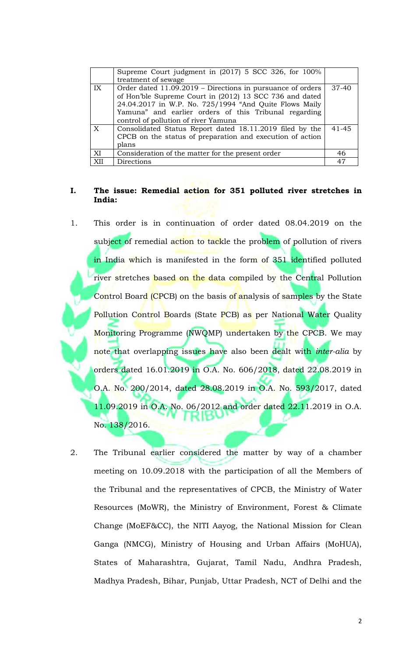|                  | Supreme Court judgment in (2017) 5 SCC 326, for 100%       |           |
|------------------|------------------------------------------------------------|-----------|
|                  | treatment of sewage                                        |           |
| IX               | Order dated 11.09.2019 – Directions in pursuance of orders | $37 - 40$ |
|                  | of Hon'ble Supreme Court in (2012) 13 SCC 736 and dated    |           |
|                  | 24.04.2017 in W.P. No. 725/1994 "And Quite Flows Maily     |           |
|                  | Yamuna" and earlier orders of this Tribunal regarding      |           |
|                  | control of pollution of river Yamuna                       |           |
| $\boldsymbol{X}$ | Consolidated Status Report dated 18.11.2019 filed by the   | $41 - 45$ |
|                  | CPCB on the status of preparation and execution of action  |           |
|                  | plans                                                      |           |
| XI               | Consideration of the matter for the present order          | 46        |
| XII              | Directions                                                 | 47        |

### **I. The issue: Remedial action for 351 polluted river stretches in India:**

- 1. This order is in continuation of order dated 08.04.2019 on the subject of remedial action to tackle the problem of pollution of rivers in India which is manifested in the form of 351 identified polluted river stretches based on the data compiled by the Central Pollution Control Board (CPCB) on the basis of analysis of samples by the State Pollution Control Boards (State PCB) as per National Water Quality Monitoring Programme (NWQMP) undertaken by the CPCB. We may note that overlapping issues have also been dealt with *inter-alia* by orders dated 16.01.2019 in O.A. No. 606/2018, dated 22.08.2019 in O.A. No. 200/2014, dated 28.08.2019 in O.A. No. 593/2017, dated 11.09.2019 in O.A. No. 06/2012 and order dated 22.11.2019 in O.A. No. 138/2016.
- 2. The Tribunal earlier considered the matter by way of a chamber meeting on 10.09.2018 with the participation of all the Members of the Tribunal and the representatives of CPCB, the Ministry of Water Resources (MoWR), the Ministry of Environment, Forest & Climate Change (MoEF&CC), the NITI Aayog, the National Mission for Clean Ganga (NMCG), Ministry of Housing and Urban Affairs (MoHUA), States of Maharashtra, Gujarat, Tamil Nadu, Andhra Pradesh, Madhya Pradesh, Bihar, Punjab, Uttar Pradesh, NCT of Delhi and the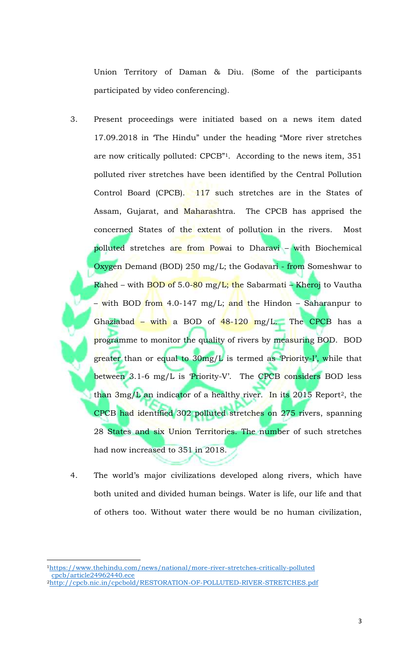Union Territory of Daman & Diu. (Some of the participants participated by video conferencing).

- 3. Present proceedings were initiated based on a news item dated 17.09.2018 in 'The Hindu" under the heading "More river stretches are now critically polluted: CPCB"1. According to the news item, 351 polluted river stretches have been identified by the Central Pollution Control Board (CPCB). 117 such stretches are in the States of Assam, Gujarat, and Maharashtra. The CPCB has apprised the concerned States of the extent of pollution in the rivers. Most polluted stretches are from Powai to Dharavi – with Biochemical Oxygen Demand (BOD) 250 mg/L; the Godavari - from Someshwar to Rahed – with BOD of 5.0-80 mg/L; t<mark>h</mark>e Sabarmati – Kheroj to Vautha – with BOD from 4.0-147 mg/L; and the Hindon – Saharanpur to Ghaziabad – with a BOD of 48-120 mg/L. The CPCB has a programme to monitor the quality of rivers by measuring BOD. BOD greater than or equal to 30mg/L is termed as 'Priority-I', while that between 3.1-6 mg/L is 'Priority-V'. The CPCB considers BOD less than  $3mg/L$  an indicator of a healthy river. In its 2015 Report<sup>2</sup>, the CPCB had identified 302 polluted stretches on 275 rivers, spanning 28 States and six Union Territories. The number of such stretches had now increased to 351 in 2018.
- 4. The world's major civilizations developed along rivers, which have both united and divided human beings. Water is life, our life and that of others too. Without water there would be no human civilization,

 $\overline{a}$ 

<sup>1</sup>https://www.thehindu.com/news/national/more-river-stretches-critically-polluted cpcb/article24962440.ece

<sup>2</sup>http://cpcb.nic.in/cpcbold/RESTORATION-OF-POLLUTED-RIVER-STRETCHES.pdf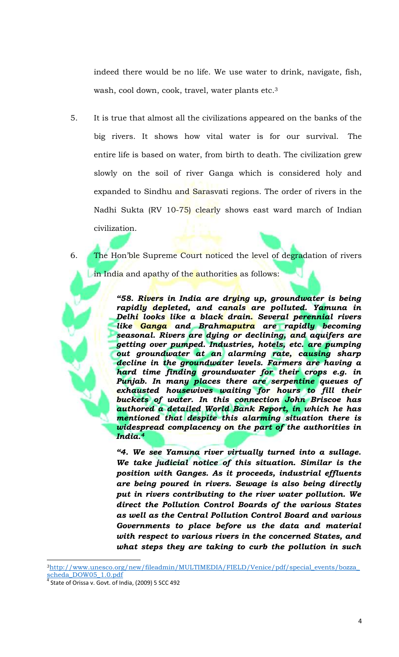indeed there would be no life. We use water to drink, navigate, fish, wash, cool down, cook, travel, water plants etc.<sup>3</sup>

- 5. It is true that almost all the civilizations appeared on the banks of the big rivers. It shows how vital water is for our survival. The entire life is based on water, from birth to death. The civilization grew slowly on the soil of river Ganga which is considered holy and expanded to Sindhu and Sarasvati regions. The order of rivers in the Nadhi Sukta (RV 10-75) clearly shows east ward march of Indian civilization.
- 6. The Hon'ble Supreme Court noticed the level of degradation of rivers in India and apathy of the authorities as follows:

*"58. Rivers in India are drying up, groundwater is being rapidly depleted, and canals are polluted. Yamuna in Delhi looks like a black drain. Several perennial rivers like Ganga and Brahmaputra are rapidly becoming seasonal. Rivers are dying or declining, and aquifers are getting over pumped. Industries, hotels, etc. are pumping out groundwater at an alarming rate, causing sharp decline in the groundwater levels. Farmers are having a hard time finding groundwater for their crops e.g. in Punjab. In many places there are serpentine queues of exhausted housewives waiting for hours to fill their buckets of water. In this connection John Briscoe has authored a detailed World Bank Report, in which he has mentioned that despite this alarming situation there is widespread complacency on the part of the authorities in India.<sup>4</sup>*

*"4. We see Yamuna river virtually turned into a sullage. We take judicial notice of this situation. Similar is the position with Ganges. As it proceeds, industrial effluents are being poured in rivers. Sewage is also being directly put in rivers contributing to the river water pollution. We direct the Pollution Control Boards of the various States as well as the Central Pollution Control Board and various Governments to place before us the data and material with respect to various rivers in the concerned States, and what steps they are taking to curb the pollution in such* 

l

<sup>3</sup>http://www.unesco.org/new/fileadmin/MULTIMEDIA/FIELD/Venice/pdf/special\_events/bozza\_ scheda\_DOW05\_1.0.pdf

State of Orissa v. Govt. of India, (2009) 5 SCC 492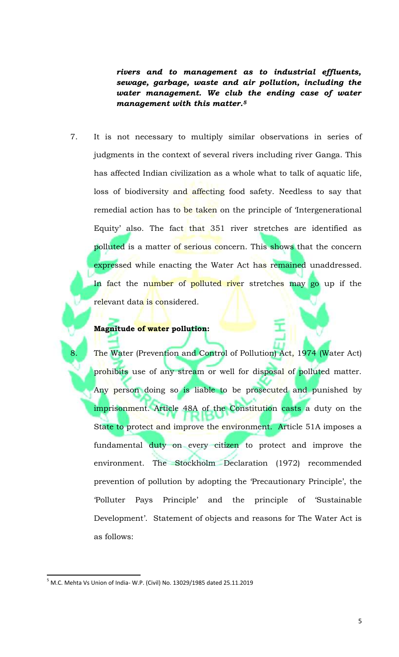*rivers and to management as to industrial effluents, sewage, garbage, waste and air pollution, including the water management. We club the ending case of water management with this matter.<sup>5</sup>*

7. It is not necessary to multiply similar observations in series of judgments in the context of several rivers including river Ganga. This has affected Indian civilization as a whole what to talk of aquatic life, loss of biodiversity and affecting food safety. Needless to say that remedial action has to be taken on the principle of 'Intergenerational Equity' also. The fact that 351 river stretches are identified as polluted is a matter of serious concern. This shows that the concern expressed while enacting the Water Act has remained unaddressed. In fact the number of polluted river stretches may go up if the relevant data <mark>is co</mark>nsidered.

### **Magnitude of water pollution:**

The Water (Prevention and Control of Pollution) Act, 1974 (Water Act) prohibits use of any stream or well for disposal of polluted matter. Any person doing so is liable to be prosecuted and punished by imprisonment. Article 48A of the Constitution casts a duty on the State to protect and improve the environment. Article 51A imposes a fundamental duty on every citizen to protect and improve the environment. The Stockholm Declaration (1972) recommended prevention of pollution by adopting the 'Precautionary Principle', the 'Polluter Pays Principle' and the principle of 'Sustainable Development'. Statement of objects and reasons for The Water Act is as follows:

 $5$  M.C. Mehta Vs Union of India-W.P. (Civil) No. 13029/1985 dated 25.11.2019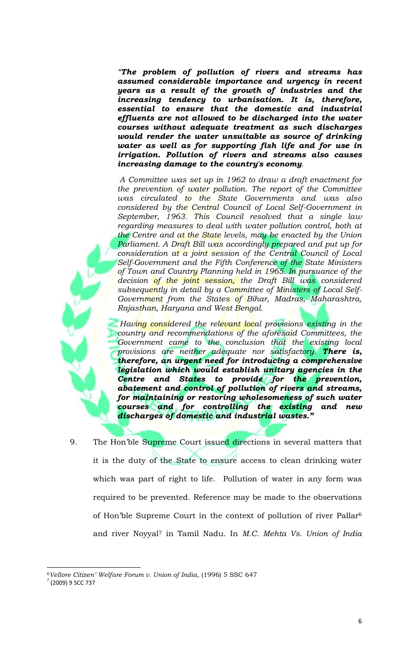*"The problem of pollution of rivers and streams has assumed considerable importance and urgency in recent years as a result of the growth of industries and the increasing tendency to urbanisation. It is, therefore, essential to ensure that the domestic and industrial effluents are not allowed to be discharged into the water courses without adequate treatment as such discharges would render the water unsuitable as source of drinking water as well as for supporting fish life and for use in irrigation. Pollution of rivers and streams also causes increasing damage to the country's economy.*

*A Committee was set up in 1962 to draw a draft enactment for the prevention of water pollution. The report of the Committee was circulated to the State Governments and was also considered by the Central Council of Local Self-Government in September, 1963. This Council resolved that a single law regarding measures to deal with water pollution control, both at the Centre and at the State levels, may be enacted by the Union Parliament. A Draft Bill was accordingly prepared and put up for consideration at a joint session of the Central Council of Local Self-Government and the Fifth Conference of the State Ministers of Town and Country Planning held in 1965. In pursuance of the decision of the joint session, the Draft Bill was considered subsequently in detail by a Committee of Ministers of Local Self-Government from the States of Bihar, Madras, Maharashtra, Rajasthan, Haryana and West Bengal.* 

*Having considered the relevant local provisions existing in the country and recommendations of the aforesaid Committees, the Government came to the conclusion that the existing local provisions are neither adequate nor satisfactory. There is, therefore, an urgent need for introducing a comprehensive legislation which would establish unitary agencies in the Centre and States to provide for the prevention, abatement and control of pollution of rivers and streams, for maintaining or restoring wholesomeness of such water courses and for controlling the existing and new discharges of domestic and industrial wastes."*

9. The Hon'ble Supreme Court issued directions in several matters that it is the duty of the State to ensure access to clean drinking water which was part of right to life. Pollution of water in any form was required to be prevented. Reference may be made to the observations of Hon'ble Supreme Court in the context of pollution of river Pallar<sup>6</sup> and river Noyyal<sup>7</sup> in Tamil Nadu. In *M.C. Mehta Vs. Union of India* 

l <sup>6</sup>*Vellore Citizen' Welfare Forum v. Union of India*, (1996) 5 SSC 647

<sup>7</sup> (2009) 9 SCC 737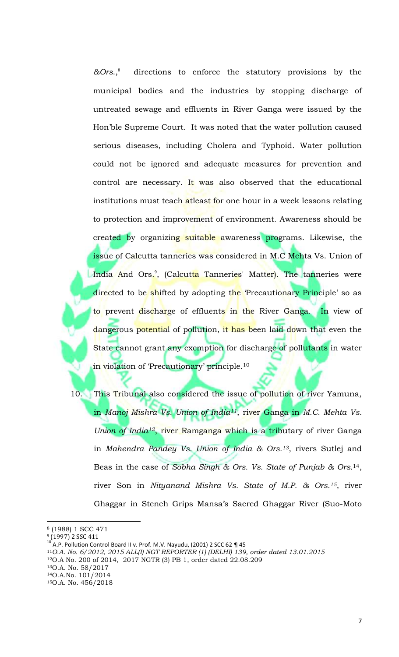*&Ors*., directions to enforce the statutory provisions by the municipal bodies and the industries by stopping discharge of untreated sewage and effluents in River Ganga were issued by the Hon'ble Supreme Court. It was noted that the water pollution caused serious diseases, including Cholera and Typhoid. Water pollution could not be ignored and adequate measures for prevention and control are necessary. It was also observed that the educational institutions must teach atleast for one hour in a week lessons relating to protection and improvement of environment. Awareness should be created by organizing suitable awareness programs. Likewise, the issue of Calcutta tanneries was considered in M.C Mehta Vs. Union of India And Ors.<sup>9</sup>, (Calcut<mark>ta T</mark>anneries' Matter). The tanneries were directed to be shifted by adopting the 'Precautionary Principle' so as to prevent discharge of effluents in the River Ganga. In view of dangerous potential of pollution, it has been laid down that even the State cannot grant any exemption for discharge of pollutants in water in violation of 'Precautionary' principle.<sup>10</sup>

10. This Tribunal also considered the issue of pollution of river Yamuna, in *Manoj Mishra Vs. Union of India11*, river Ganga in *M.C. Mehta Vs. Union of India12*, river Ramganga which is a tributary of river Ganga in *Mahendra Pandey Vs. Union of India & Ors.13*, rivers Sutlej and Beas in the case of *Sobha Singh & Ors. Vs. State of Punjab & Ors*. <sup>14</sup>, river Son in *Nityanand Mishra Vs. State of M.P. & Ors.15*, river Ghaggar in Stench Grips Mansa's Sacred Ghaggar River (Suo-Moto

<sup>8</sup> (1988) 1 SCC 471

<sup>&</sup>lt;sup>9</sup> (1997) 2 SSC 411

<sup>&</sup>lt;sup>10</sup> A.P. Pollution Control Board II v. Prof. M.V. Nayudu, (2001) 2 SCC 62 ¶ 45

<sup>11</sup>*O.A. No. 6/2012, 2015 ALL(I) NGT REPORTER (1) (DELHI) 139, order dated 13.01.2015*

<sup>12</sup>O.A No. 200 of 2014, 2017 NGTR (3) PB 1, order dated 22.08.209

<sup>13</sup>O.A. No. 58/2017

<sup>14</sup>O.A.No. 101/2014

<sup>15</sup>O.A. No. 456/2018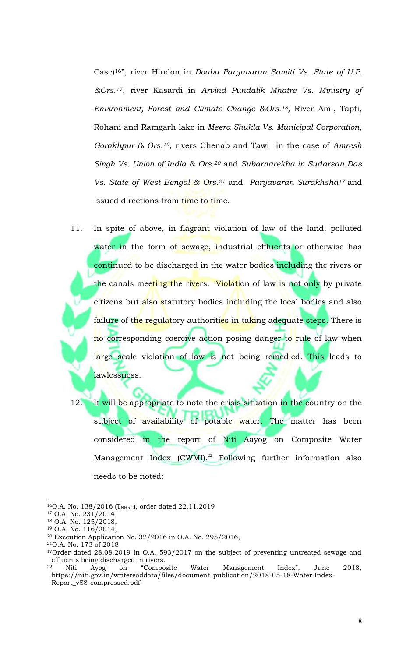Case)16", river Hindon in *Doaba Paryavaran Samiti Vs. State of U.P. &Ors.17*, river Kasardi in *Arvind Pundalik Mhatre Vs. Ministry of Environment, Forest and Climate Change &Ors.18,* River Ami, Tapti, Rohani and Ramgarh lake in *Meera Shukla Vs. Municipal Corporation, Gorakhpur & Ors.19*, rivers Chenab and Tawi in the case of *Amresh Singh Vs. Union of India & Ors.<sup>20</sup>* and *Subarnarekha in Sudarsan Das Vs. State of West Bengal & Ors.<sup>21</sup>* and *Paryavaran Surakhsha<sup>17</sup>* and issued directions from time to time.

11. In spite of above, in flagrant violation of law of the land, polluted water in the form of sewage, industrial effluents or otherwise has continued to be discharged in the water bodies including the rivers or the canals meeting the rivers. Violation of law is not only by private citizens but also statutory bodies including the local bodies and also failure of the regulatory authorities in taking adequate steps. There is no corresponding coercive action posing danger to rule of law when large scale violation of law is not being remedied. This leads to lawlessness.

12. It will be appropriate to note the crisis situation in the country on the subject of availability of potable water. The matter has been considered in the report of Niti Aayog on Composite Water Management Index (CWMI).<sup>22</sup> Following further information also needs to be noted:

<sup>&</sup>lt;sup>16</sup>O.A. No. 138/2016 (T<sub>NHRC</sub>), order dated 22.11.2019

<sup>17</sup> O.A. No. 231/2014

<sup>18</sup> O.A. No. 125/2018,

<sup>19</sup> O.A. No. 116/2014,

<sup>20</sup> Execution Application No. 32/2016 in O.A. No. 295/2016,

<sup>21</sup>O.A. No. 173 of 2018

<sup>&</sup>lt;sup>17</sup>Order dated 28.08.2019 in O.A. 593/2017 on the subject of preventing untreated sewage and effluents being discharged in rivers.<br><sup>22</sup> Niti Ayog on "Compo

<sup>22</sup> Niti Ayog on "Composite Water Management Index", June 2018, https://niti.gov.in/writereaddata/files/document\_publication/2018-05-18-Water-Index-Report\_vS8-compressed.pdf.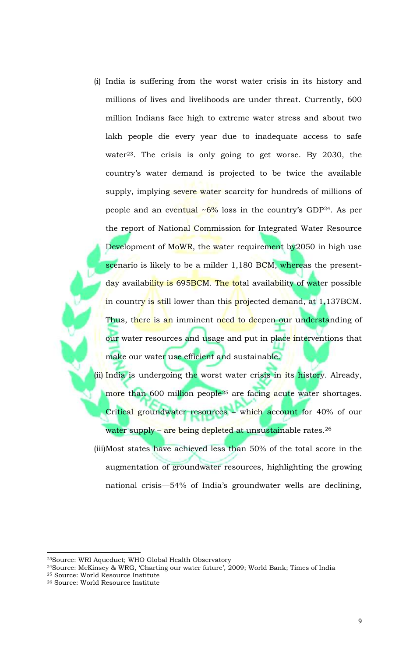(i) India is suffering from the worst water crisis in its history and millions of lives and livelihoods are under threat. Currently, 600 million Indians face high to extreme water stress and about two lakh people die every year due to inadequate access to safe water<sup>23</sup>. The crisis is only going to get worse. By 2030, the country's water demand is projected to be twice the available supply, implying severe water scarcity for hundreds of millions of people and an eventual  $\sim 6\%$  loss in the country's GDP<sup>24</sup>. As per the report of National Commission for Integrated Water Resource Development of MoWR, the water requirement by 2050 in high use scenario is likely to be a milder 1,180 BCM, whereas the presentday availability is 695BCM. The total availability of water possible in country is still lower than this projected demand, at 1,137BCM. Thus, there is an imminent need to deepen our understanding of our water resources and usage and put in place interventions that make our water use efficient and sustainable.

(ii) India is undergoing the worst water crisis in its history. Already, more than 600 million people<sup>25</sup> are facing acute water shortages. Critical groundwater resources – which account for 40% of our water supply - are being depleted at unsustainable rates.<sup>26</sup>

(iii)Most states have achieved less than 50% of the total score in the augmentation of groundwater resources, highlighting the growing national crisis—54% of India's groundwater wells are declining,

 $\overline{a}$ 

<sup>23</sup>Source: WRI Aqueduct; WHO Global Health Observatory

<sup>24</sup>Source: McKinsey & WRG, 'Charting our water future', 2009; World Bank; Times of India <sup>25</sup> Source: World Resource Institute

<sup>26</sup> Source: World Resource Institute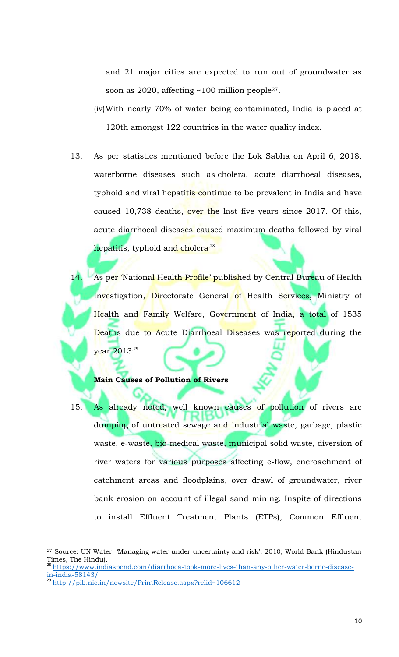and 21 major cities are expected to run out of groundwater as soon as 2020, affecting ~100 million people<sup>27</sup>.

- (iv)With nearly 70% of water being contaminated, India is placed at 120th amongst 122 countries in the water quality index.
- 13. As per statistics mentioned before the Lok Sabha on April 6, 2018, waterborne diseases such as cholera, acute diarrhoeal diseases, typhoid and viral hepatitis continue to be prevalent in India and have caused 10,738 deaths, over the last five years since 2017. Of this, acute diarrhoeal diseases caused maximum deaths followed by viral hepatitis, typhoid an<mark>d cholera<sup>.28</sup></mark>
- As per 'National Health Profile' published by Central Bureau of Health Investigation, Directorate General of Health Services, Ministry of Health and Family Welfare, Government of India, a total of 1535 Deaths due to Acute Diarrhoeal Diseases was reported during the year 2013. 29

### **Main Causes of Pollution of Rivers**

15. As already noted, well known causes of pollution of rivers are dumping of untreated sewage and industrial waste, garbage, plastic waste, e-waste, bio-medical waste, municipal solid waste, diversion of river waters for various purposes affecting e-flow, encroachment of catchment areas and floodplains, over drawl of groundwater, river bank erosion on account of illegal sand mining. Inspite of directions to install Effluent Treatment Plants (ETPs), Common Effluent

l

<sup>&</sup>lt;sup>27</sup> Source: UN Water, 'Managing water under uncertainty and risk', 2010; World Bank (Hindustan Times, The Hindu).

<sup>28</sup> https://www.indiaspend.com/diarrhoea-took-more-lives-than-any-other-water-borne-diseasein-india-58143/

<sup>29</sup> http://pib.nic.in/newsite/PrintRelease.aspx?relid=106612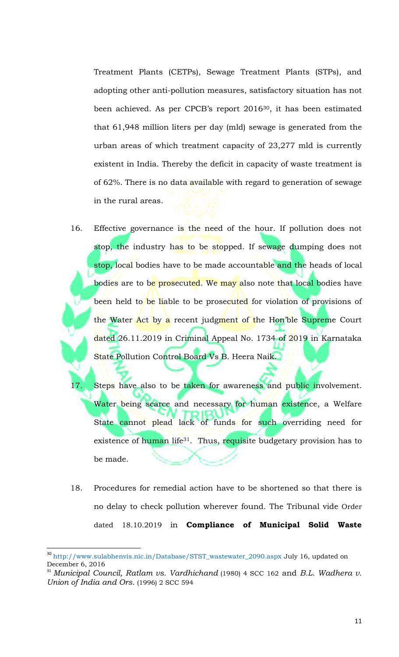Treatment Plants (CETPs), Sewage Treatment Plants (STPs), and adopting other anti-pollution measures, satisfactory situation has not been achieved. As per CPCB's report 201630, it has been estimated that 61,948 million liters per day (mld) sewage is generated from the urban areas of which treatment capacity of 23,277 mld is currently existent in India. Thereby the deficit in capacity of waste treatment is of 62%. There is no data available with regard to generation of sewage in the rural areas.

- 16. Effective governance is the need of the hour. If pollution does not stop, the industry has to be stopped. If sewage dumping does not stop, local bodies have to be made accountable and the heads of local bodies are to be prosecuted. We may also note that local bodies have been held to be liable to be prosecuted for violation of provisions of the Water Act by a recent judgment of the Hon'ble Supreme Court dated 26.11.2019 in Criminal Appeal No. 1734 of 2019 in Karnataka State Pollution Control Board Vs B. Heera Naik.
- 17. Steps have also to be taken for awareness and public involvement. Water being scarce and necessary for human existence, a Welfare State cannot plead lack of funds for such overriding need for existence of human life<sup>31</sup>. Thus, requisite budgetary provision has to be made.
- 18. Procedures for remedial action have to be shortened so that there is no delay to check pollution wherever found. The Tribunal vide Order dated 18.10.2019 in **Compliance of Municipal Solid Waste**

 $\overline{a}$ 

<sup>&</sup>lt;sup>30</sup> http://www.sulabhenvis.nic.in/Database/STST\_wastewater\_2090.aspx July 16, updated on December 6, 2016

<sup>31</sup> *Municipal Council, Ratlam vs. Vardhichand* (1980) 4 SCC 162 and *B.L. Wadhera v. Union of India and Ors.* (1996) 2 SCC 594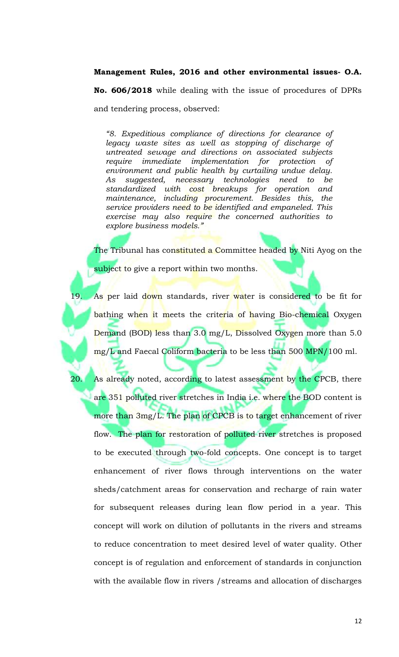### **Management Rules, 2016 and other environmental issues- O.A.**

**No. 606/2018** while dealing with the issue of procedures of DPRs and tendering process, observed:

*"8. Expeditious compliance of directions for clearance of legacy waste sites as well as stopping of discharge of untreated sewage and directions on associated subjects require immediate implementation for protection of environment and public health by curtailing undue delay. As suggested, necessary technologies need to be standardized with cost breakups for operation and maintenance, including procurement. Besides this, the service providers need to be identified and empaneled. This exercise may also require the concerned authorities to explore business models."* 

The Tribunal has constituted a Committee headed by Niti Ayog on the subject to give a report within two months.

As per laid down standards, river water is considered to be fit for bathing when it meets the criteria of having Bio-chemical Oxygen Demand (BOD) less than 3.0 mg/L, Dissolved Oxygen more than 5.0 mg/L and Faecal Coliform bacteria to be less than 500 MPN/100 ml.

20. As already noted, according to latest assessment by the CPCB, there are 351 polluted river stretches in India i.e. where the BOD content is more than 3mg/L. The plan of CPCB is to target enhancement of river flow. The plan for restoration of polluted river stretches is proposed to be executed through two-fold concepts. One concept is to target enhancement of river flows through interventions on the water sheds/catchment areas for conservation and recharge of rain water for subsequent releases during lean flow period in a year. This concept will work on dilution of pollutants in the rivers and streams to reduce concentration to meet desired level of water quality. Other concept is of regulation and enforcement of standards in conjunction with the available flow in rivers /streams and allocation of discharges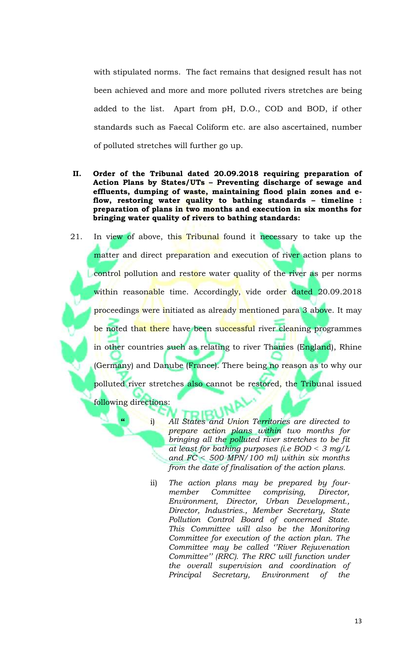with stipulated norms. The fact remains that designed result has not been achieved and more and more polluted rivers stretches are being added to the list. Apart from pH, D.O., COD and BOD, if other standards such as Faecal Coliform etc. are also ascertained, number of polluted stretches will further go up.

**II. Order of the Tribunal dated 20.09.2018 requiring preparation of Action Plans by States/UTs – Preventing discharge of sewage and effluents, dumping of waste, maintaining flood plain zones and eflow, restoring water quality to bathing standards – timeline : preparation of plans in two months and execution in six months for bringing water quality of rivers to bathing standards:**

21. In view of above, this Tribunal found it necessary to take up the matter and direct preparation and execution of river action plans to control pollution and restore water quality of the river as per norms within reasonable time. Accordingly, vide order dated 20.09.2018 proceedings were initiated as already mentioned para 3 above. It may be noted that there have been successful river cleaning programmes in other countries such as relating to river Thames (England), Rhine (Germany) and Danube (France). There being no reason as to why our polluted river stretches also cannot be restored, the Tribunal issued following directions:

- **"** i) *All States and Union Territories are directed to prepare action plans within two months for bringing all the polluted river stretches to be fit at least for bathing purposes (i.e BOD ˂ 3 mg/L and FC ˂ 500 MPN/100 ml) within six months from the date of finalisation of the action plans.*
- ii) *The action plans may be prepared by fourmember Committee comprising, Director, Environment, Director, Urban Development., Director, Industries., Member Secretary, State Pollution Control Board of concerned State. This Committee will also be the Monitoring Committee for execution of the action plan. The Committee may be called ''River Rejuvenation Committee'' (RRC). The RRC will function under the overall supervision and coordination of Principal Secretary, Environment of the*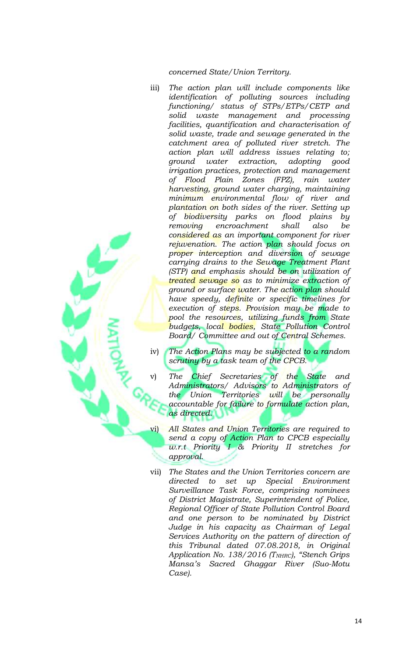*concerned State/Union Territory.*

- iii) *The action plan will include components like identification of polluting sources including functioning/ status of STPs/ETPs/CETP and solid waste management and processing facilities, quantification and characterisation of solid waste, trade and sewage generated in the catchment area of polluted river stretch. The action plan will address issues relating to; ground water extraction, adopting good irrigation practices, protection and management of Flood Plain Zones (FPZ), rain water harvesting, ground water charging, maintaining minimum environmental flow of river and plantation on both sides of the river. Setting up of biodiversity parks on flood plains by removing encroachment shall also be considered as an important component for river rejuvenation. The action plan should focus on proper interception and diversion of sewage carrying drains to the Sewage Treatment Plant (STP) and emphasis should be on utilization of treated sewage so as to minimize extraction of ground or surface water. The action plan should have speedy, definite or specific timelines for execution of steps. Provision may be made to pool the resources, utilizing funds from State budgets, local bodies, State Pollution Control Board/ Committee and out of Central Schemes.*
- iv) *The Action Plans may be subjected to a random scrutiny by a task team of the CPCB.*
- v) *The Chief Secretaries of the State and Administrators/ Advisors to Administrators of the Union Territories will be personally accountable for failure to formulate action plan, as directed.*
- All States and Union Territories are required to *send a copy of Action Plan to CPCB especially w.r.t Priority I & Priority II stretches for approval.*
- vii) *The States and the Union Territories concern are directed to set up Special Environment Surveillance Task Force, comprising nominees of District Magistrate, Superintendent of Police, Regional Officer of State Pollution Control Board and one person to be nominated by District Judge in his capacity as Chairman of Legal Services Authority on the pattern of direction of this Tribunal dated 07.08.2018, in Original Application No. 138/2016 (TNHRC), "Stench Grips Mansa's Sacred Ghaggar River (Suo-Motu Case).*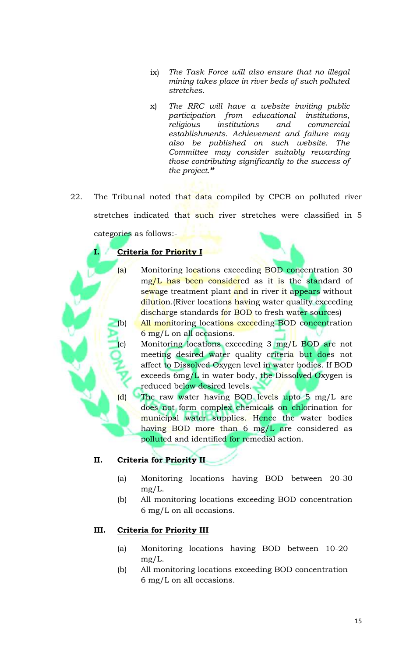- ix) *The Task Force will also ensure that no illegal mining takes place in river beds of such polluted stretches.*
- x) *The RRC will have a website inviting public participation from educational institutions, religious institutions and commercial establishments. Achievement and failure may also be published on such website. The Committee may consider suitably rewarding those contributing significantly to the success of the project."*
- 22. The Tribunal noted that data compiled by CPCB on polluted river stretches indicated that such river stretches were classified in 5 categories as follows:-

# **I. Criteria for Priority I**

- (a) Monitoring locations exceeding BOD concentration 30 mg/L has been considered as it is the standard of sewage treatment plant and in river it appears without dilution. (River locations having water quality exceeding discharge standards for BOD to fresh water sources)
- (b) All monitoring locations exceeding BOD concentration 6 mg/L on all occasions.
	- Monitoring locations exceeding  $3 \text{ mg/L BOD}$  are not meeting desired water quality criteria but does not affect to Dissolved Oxygen level in water bodies. If BOD exceeds 6mg/L in water body, the Dissolved Oxygen is reduced below desired levels.
- (d) The raw water having BOD levels upto 5 mg/L are does not form complex chemicals on chlorination for municipal water supplies. Hence the water bodies having BOD more than 6 mg/L are considered as polluted and identified for remedial action.

# **II. Criteria for Priority II**

- (a) Monitoring locations having BOD between 20-30 mg/L.
- (b) All monitoring locations exceeding BOD concentration 6 mg/L on all occasions.

## **III. Criteria for Priority III**

- (a) Monitoring locations having BOD between 10-20 mg/L.
- (b) All monitoring locations exceeding BOD concentration 6 mg/L on all occasions.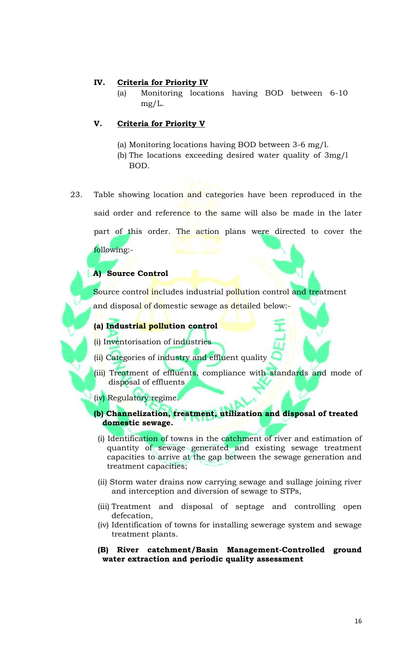### **IV. Criteria for Priority IV**

(a) Monitoring locations having BOD between 6-10 mg/L.

### **V. Criteria for Priority V**

- (a) Monitoring locations having BOD between 3-6 mg/l.
- (b) The locations exceeding desired water quality of 3mg/l BOD.
- 23. Table showing location and categories have been reproduced in the said order and reference to the same will also be made in the later part of this order. The action plans were directed to cover the following:-

### **A) Source Control**

Source control includes industrial pollution control and treatment and disposal of domestic sewage as detailed below:-

### **(a) Industrial pollution control**

(i) Inventorisation of industries

- (ii) Categories of industry and effluent quality
- (iii) Treatment of effluents, compliance with standards and mode of disposal of effluents
- (iv) Regulatory regime.
- **(b) Channelization, treatment, utilization and disposal of treated domestic sewage.**
	- (i) Identification of towns in the catchment of river and estimation of quantity of sewage generated and existing sewage treatment capacities to arrive at the gap between the sewage generation and treatment capacities;
	- (ii) Storm water drains now carrying sewage and sullage joining river and interception and diversion of sewage to STPs,
	- (iii) Treatment and disposal of septage and controlling open defecation,
	- (iv) Identification of towns for installing sewerage system and sewage treatment plants.
	- **(B) River catchment/Basin Management-Controlled ground water extraction and periodic quality assessment**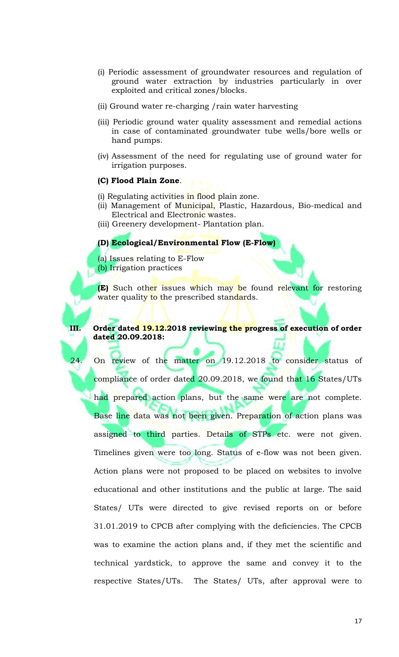- (i) Periodic assessment of groundwater resources and regulation of ground water extraction by industries particularly in over exploited and critical zones/blocks.
- (ii) Ground water re-charging /rain water harvesting
- (iii) Periodic ground water quality assessment and remedial actions in case of contaminated groundwater tube wells/bore wells or hand pumps.
- (iv) Assessment of the need for regulating use of ground water for irrigation purposes.

### **(C) Flood Plain Zone**.

(i) Regulating activities in flood plain zone.

- (ii) Management of Municipal, Plastic, Hazardous, Bio-medical and Electrical and Electronic wastes.
- (iii) Greenery development- Plantation plan.

#### **(D) Ecological/Environmental Flow (E-Flow)**

(a) Issues relating to E-Flow (b) Irrigation practices

**(E)** Such other issues which may be found relevant for restoring water quality to the prescribed standards.

### **III. Order dated 19.12.2018 reviewing the progress of execution of order dated 20.09.2018:**

24. On review of the matter on 19.12.2018 to consider status of compliance of order dated 20.09.2018, we found that 16 States/UTs

had prepared action plans, but the same were are not complete. Base line data was not been given. Preparation of action plans was assigned to third parties. Details of STPs etc. were not given. Timelines given were too long. Status of e-flow was not been given. Action plans were not proposed to be placed on websites to involve educational and other institutions and the public at large. The said States/ UTs were directed to give revised reports on or before 31.01.2019 to CPCB after complying with the deficiencies. The CPCB was to examine the action plans and, if they met the scientific and technical yardstick, to approve the same and convey it to the respective States/UTs. The States/ UTs, after approval were to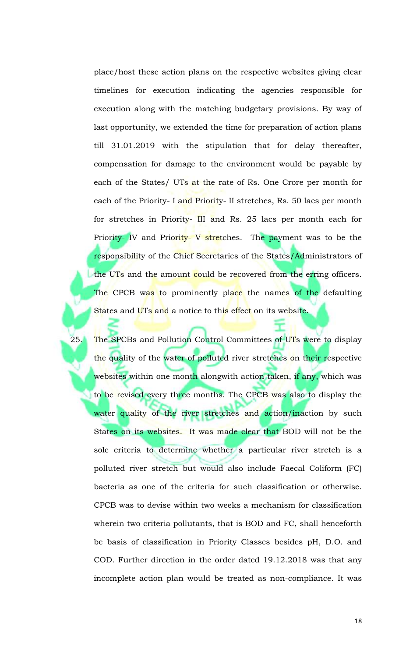place/host these action plans on the respective websites giving clear timelines for execution indicating the agencies responsible for execution along with the matching budgetary provisions. By way of last opportunity, we extended the time for preparation of action plans till 31.01.2019 with the stipulation that for delay thereafter, compensation for damage to the environment would be payable by each of the States/ UTs at the rate of Rs. One Crore per month for each of the Priority- I and Priority- II stretches, Rs. 50 lacs per month for stretches in Priority- III and Rs. 25 lacs per month each for Priority- IV and Priority- V stretches. The payment was to be the responsibility of the Chief Secretaries of the States/Administrators of the UTs and the amount could be recovered from the erring officers. The CPCB was to prominently place the names of the defaulting States and UTs and a notice to this effect on its website.

25. The SPCBs and Pollution Control Committees of UTs were to display the quality of the water of polluted river stretches on their respective websites within one month alongwith action taken, if any, which was to be revised every three months. The CPCB was also to display the water quality of the river stretches and action/inaction by such States on its websites. It was made clear that BOD will not be the sole criteria to determine whether a particular river stretch is a polluted river stretch but would also include Faecal Coliform (FC) bacteria as one of the criteria for such classification or otherwise. CPCB was to devise within two weeks a mechanism for classification wherein two criteria pollutants, that is BOD and FC, shall henceforth be basis of classification in Priority Classes besides pH, D.O. and COD. Further direction in the order dated 19.12.2018 was that any incomplete action plan would be treated as non-compliance. It was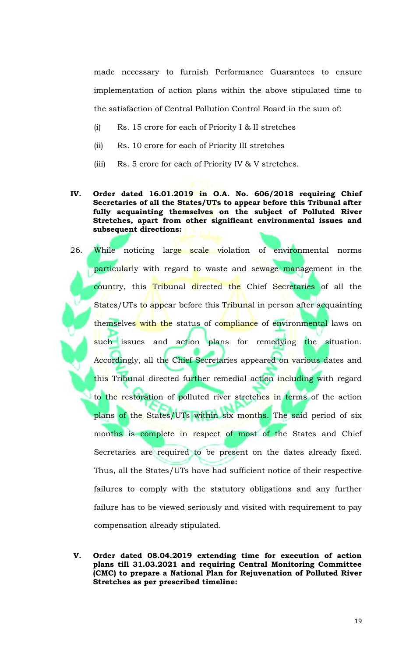made necessary to furnish Performance Guarantees to ensure implementation of action plans within the above stipulated time to the satisfaction of Central Pollution Control Board in the sum of:

- (i) Rs. 15 crore for each of Priority I & II stretches
- (ii) Rs. 10 crore for each of Priority III stretches
- (iii) Rs. 5 crore for each of Priority IV & V stretches.

### **IV. Order dated 16.01.2019 in O.A. No. 606/2018 requiring Chief Secretaries of all the States/UTs to appear before this Tribunal after fully acquainting themselves on the subject of Polluted River Stretches, apart from other significant environmental issues and subsequent directions:**

26. While noticing large scale violation of environmental norms particularly with regard to waste and sewage management in the country, this Tribunal directed the Chief Secretaries of all the States/UTs to appear before this Tribunal in person after acquainting themselves with the status of compliance of environmental laws on such issues and action plans for remedying the situation. Accordingly, all the Chief Secretaries appeared on various dates and this Tribunal directed further remedial action including with regard to the restoration of polluted river stretches in terms of the action plans of the States/UTs within six months. The said period of six months is complete in respect of most of the States and Chief Secretaries are required to be present on the dates already fixed. Thus, all the States/UTs have had sufficient notice of their respective failures to comply with the statutory obligations and any further failure has to be viewed seriously and visited with requirement to pay compensation already stipulated.

**V. Order dated 08.04.2019 extending time for execution of action plans till 31.03.2021 and requiring Central Monitoring Committee (CMC) to prepare a National Plan for Rejuvenation of Polluted River Stretches as per prescribed timeline:**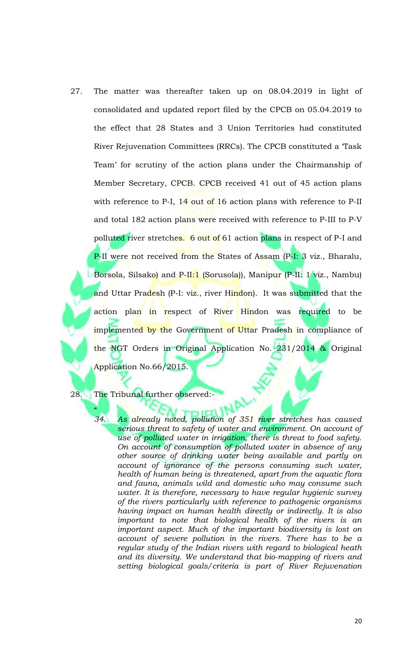27. The matter was thereafter taken up on 08.04.2019 in light of consolidated and updated report filed by the CPCB on 05.04.2019 to the effect that 28 States and 3 Union Territories had constituted River Rejuvenation Committees (RRCs). The CPCB constituted a 'Task Team' for scrutiny of the action plans under the Chairmanship of Member Secretary, CPCB. CPCB received 41 out of 45 action plans with reference to P-I, 14 out of 16 action plans with reference to P-II and total 182 action plans were received with reference to P-III to P-V polluted river stretches. 6 out of 61 action plans in respect of P-I and P-II were not received from the States of Assam (P-I: 3 viz., Bharalu, Borsola, Silsako) and P-II:1 (Sorusola)), Manipur (P-II: 1 viz., Nambu) and Uttar Pradesh (P-I: viz., river Hindon). It was submitted that the action plan in respect of River Hindon was required to be implemented by the Government of Uttar Pradesh in compliance of the NGT Orders in Original Application No. 231/2014 & Original Application No.66/2015.

28. The Tribunal further observed:-

 $\frac{1}{2}$ 

*34. As already noted, pollution of 351 river stretches has caused serious threat to safety of water and environment. On account of use of polluted water in irrigation, there is threat to food safety. On account of consumption of polluted water in absence of any other source of drinking water being available and partly on account of ignorance of the persons consuming such water, health of human being is threatened, apart from the aquatic flora and fauna, animals wild and domestic who may consume such water. It is therefore, necessary to have regular hygienic survey of the rivers particularly with reference to pathogenic organisms having impact on human health directly or indirectly. It is also important to note that biological health of the rivers is an important aspect. Much of the important biodiversity is lost on account of severe pollution in the rivers. There has to be a regular study of the Indian rivers with regard to biological heath and its diversity. We understand that bio-mapping of rivers and setting biological goals/criteria is part of River Rejuvenation*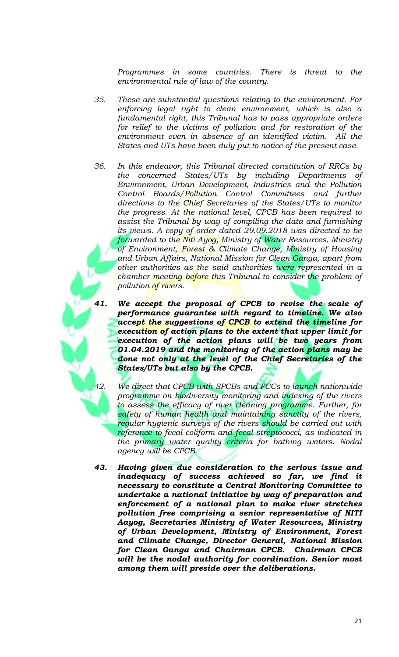*Programmes in some countries. There is threat to the environmental rule of law of the country.* 

- *35. These are substantial questions relating to the environment. For enforcing legal right to clean environment, which is also a fundamental right, this Tribunal has to pass appropriate orders for relief to the victims of pollution and for restoration of the environment even in absence of an identified victim. All the States and UTs have been duly put to notice of the present case.*
- *36. In this endeavor, this Tribunal directed constitution of RRCs by the concerned States/UTs by including Departments of Environment, Urban Development, Industries and the Pollution Control Boards/Pollution Control Committees and further directions to the Chief Secretaries of the States/UTs to monitor the progress. At the national level, CPCB has been required to assist the Tribunal by way of compiling the data and furnishing its views. A copy of order dated 29.09.2018 was directed to be forwarded to the Niti Ayog, Ministry of Water Resources, Ministry of Environment, Forest & Climate Change, Ministry of Housing and Urban Affairs, National Mission for Clean Ganga, apart from other authorities as the said authorities were represented in a chamber meeting before this Tribunal to consider the problem of pollution of rivers.*
- *41. We accept the proposal of CPCB to revise the scale of performance guarantee with regard to timeline. We also accept the suggestions of CPCB to extend the timeline for execution of action plans to the extent that upper limit for execution of the action plans will be two years from 01.04.2019 and the monitoring of the action plans may be done not only at the level of the Chief Secretaries of the States/UTs but also by the CPCB.* 
	- *42. We direct that CPCB with SPCBs and PCCs to launch nationwide programme on biodiversity monitoring and indexing of the rivers to assess the efficacy of river cleaning programme. Further, for safety of human health and maintaining sanctity of the rivers, regular hygienic surveys of the rivers should be carried out with reference to fecal coliform and fecal streptococci, as indicated in the primary water quality criteria for bathing waters. Nodal agency will be CPCB.*
- *43. Having given due consideration to the serious issue and inadequacy of success achieved so far, we find it necessary to constitute a Central Monitoring Committee to undertake a national initiative by way of preparation and enforcement of a national plan to make river stretches pollution free comprising a senior representative of NITI Aayog, Secretaries Ministry of Water Resources, Ministry of Urban Development, Ministry of Environment, Forest and Climate Change, Director General, National Mission for Clean Ganga and Chairman CPCB. Chairman CPCB will be the nodal authority for coordination. Senior most among them will preside over the deliberations.*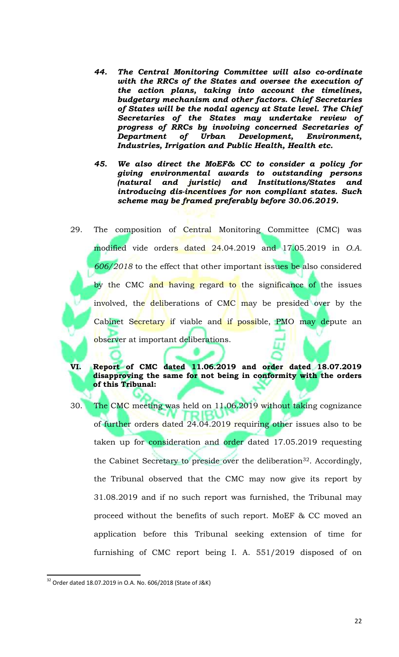- *44. The Central Monitoring Committee will also co-ordinate with the RRCs of the States and oversee the execution of the action plans, taking into account the timelines, budgetary mechanism and other factors. Chief Secretaries of States will be the nodal agency at State level. The Chief Secretaries of the States may undertake review of progress of RRCs by involving concerned Secretaries of Department of Urban Development, Environment, Industries, Irrigation and Public Health, Health etc.*
- *45. We also direct the MoEF& CC to consider a policy for giving environmental awards to outstanding persons (natural and juristic) and Institutions/States and introducing dis-incentives for non compliant states. Such scheme may be framed preferably before 30.06.2019.*
- 29. The composition of Central Monitoring Committee (CMC) was modified vide orders dated 24.04.2019 and 17.05.2019 in *O.A. 606/2018* to the effect that other important issues be also considered by the CMC and having regard to the significance of the issues involved, the deliberations of CMC may be presided over by the Cabinet Secretary if viable and if possible, PMO may depute an observer at important deliberations.
- **VI. Report of CMC dated 11.06.2019 and order dated 18.07.2019 disapproving the same for not being in conformity with the orders of this Tribunal:**
- 30. The CMC meeting was held on 11.06.2019 without taking cognizance of further orders dated 24.04.2019 requiring other issues also to be taken up for consideration and order dated 17.05.2019 requesting the Cabinet Secretary to preside over the deliberation<sup>32</sup>. Accordingly, the Tribunal observed that the CMC may now give its report by 31.08.2019 and if no such report was furnished, the Tribunal may proceed without the benefits of such report. MoEF & CC moved an application before this Tribunal seeking extension of time for furnishing of CMC report being I. A. 551/2019 disposed of on

 $\overline{\phantom{a}}$ <sup>32</sup> Order dated 18.07.2019 in O.A. No. 606/2018 (State of J&K)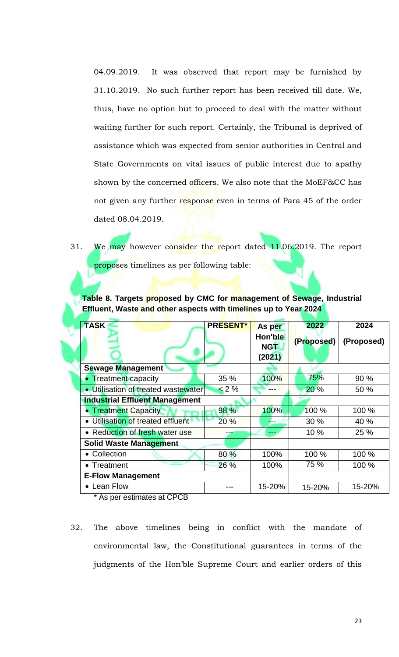04.09.2019. It was observed that report may be furnished by 31.10.2019. No such further report has been received till date. We, thus, have no option but to proceed to deal with the matter without waiting further for such report. Certainly, the Tribunal is deprived of assistance which was expected from senior authorities in Central and State Governments on vital issues of public interest due to apathy shown by the concerned officers. We also note that the MoEF&CC has not given any further response even in terms of Para 45 of the order dated 08.04.2019.

31. We may however consider the report dated 11.06.2019. The report proposes timelines as per following table:

**Table 8. Targets proposed by CMC for management of Sewage, Industrial Effluent, Waste and other aspects with timelines up to Year 2024**

| <b>TASK</b>                           | <b>PRESENT*</b> | As per                          | 2022       | 2024       |
|---------------------------------------|-----------------|---------------------------------|------------|------------|
|                                       |                 | Hon'ble<br><b>NGT</b><br>(2021) | (Proposed) | (Proposed) |
| <b>Sewage Management</b>              |                 |                                 |            |            |
| <b>Treatment capacity</b>             | 35 %            | 100%                            | 75%        | 90 %       |
| • Utilisation of treated wastewater   | $< 2 \%$        |                                 | 20 %       | 50 %       |
| <b>Industrial Effluent Management</b> |                 |                                 |            |            |
| <b>Treatment Capacity</b>             | 98 %            | 100%                            | 100 %      | 100 %      |
| • Utilisation of treated effluent     | 20%             |                                 | 30 %       | 40 %       |
| • Reduction of fresh water use        | ---             | ---                             | 10 %       | 25 %       |
| <b>Solid Waste Management</b>         |                 |                                 |            |            |
| • Collection                          | 80%             | 100%                            | 100 %      | 100 %      |
| • Treatment                           | 26 %            | 100%                            | 75 %       | 100 %      |
| <b>E-Flow Management</b>              |                 |                                 |            |            |
| • Lean Flow                           |                 | 15-20%                          | 15-20%     | 15-20%     |

\* As per estimates at CPCB

32. The above timelines being in conflict with the mandate of environmental law, the Constitutional guarantees in terms of the judgments of the Hon'ble Supreme Court and earlier orders of this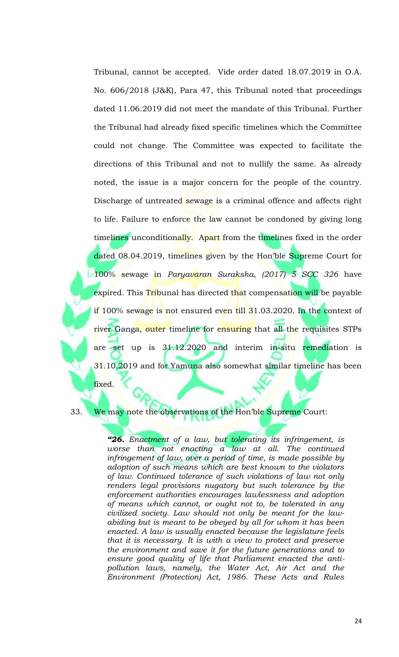Tribunal, cannot be accepted. Vide order dated 18.07.2019 in O.A. No. 606/2018 (J&K), Para 47, this Tribunal noted that proceedings dated 11.06.2019 did not meet the mandate of this Tribunal. Further the Tribunal had already fixed specific timelines which the Committee could not change. The Committee was expected to facilitate the directions of this Tribunal and not to nullify the same. As already noted, the issue is a major concern for the people of the country. Discharge of untreated sewage is a criminal offence and affects right to life. Failure to enforce the law cannot be condoned by giving long timelines unconditionally. Apart from the timelines fixed in the order dated 08.04.2019, timelines given by the Hon'ble Supreme Court for 100% sewage in *Paryavaran Suraksha, (2017) 5 SCC 326* have expired. This Tribunal has directed that compensation will be payable if 100% sewage is not ensured even till 31.03.2020. In the context of river Ganga, outer timeline for ensuring that all the requisites STPs are set up is 31.12.2020 and interim in-situ remediation is 31.10.2019 and for Yamuna also somewhat similar timeline has been

fixed.

33. We may note the observations of the Hon'ble Supreme Court:

*"26. Enactment of a law, but tolerating its infringement, is worse than not enacting a law at all. The continued infringement of law, over a period of time, is made possible by adoption of such means which are best known to the violators of law. Continued tolerance of such violations of law not only renders legal provisions nugatory but such tolerance by the enforcement authorities encourages lawlessness and adoption of means which cannot, or ought not to, be tolerated in any civilized society. Law should not only be meant for the lawabiding but is meant to be obeyed by all for whom it has been enacted. A law is usually enacted because the legislature feels that it is necessary. It is with a view to protect and preserve the environment and save it for the future generations and to ensure good quality of life that Parliament enacted the antipollution laws, namely, the Water Act, Air Act and the Environment (Protection) Act, 1986. These Acts and Rules*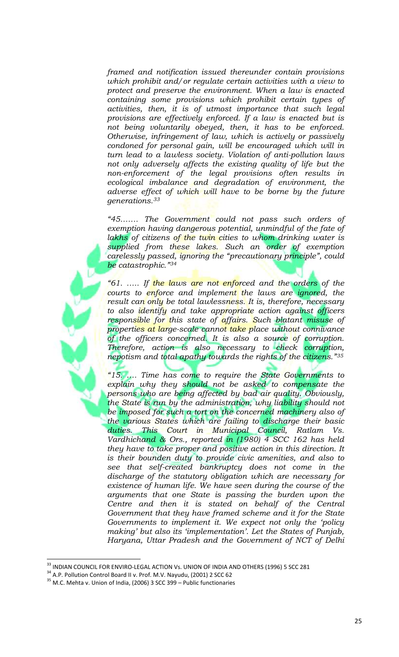*framed and notification issued thereunder contain provisions which prohibit and/or regulate certain activities with a view to protect and preserve the environment. When a law is enacted containing some provisions which prohibit certain types of activities, then, it is of utmost importance that such legal provisions are effectively enforced. If a law is enacted but is not being voluntarily obeyed, then, it has to be enforced. Otherwise, infringement of law, which is actively or passively condoned for personal gain, will be encouraged which will in turn lead to a lawless society. Violation of anti-pollution laws not only adversely affects the existing quality of life but the non-enforcement of the legal provisions often results in ecological imbalance and degradation of environment, the adverse effect of which will have to be borne by the future generations.<sup>33</sup>*

*"45……. The Government could not pass such orders of exemption having dangerous potential, unmindful of the fate of*  lakhs of citizens of the twin cities to whom drinking water is *supplied from these lakes. Such an order of exemption carelessly passed, ignoring the "precautionary principle", could be catastrophic."<sup>34</sup>*

*"61. ….. If the laws are not enforced and the orders of the courts to enforce and implement the laws are ignored, the result can only be total lawlessness. It is, therefore, necessary to also identify and take appropriate action against officers responsible for this state of affairs. Such blatant misuse of properties at large-scale cannot take place without connivance of the officers concerned. It is also a source of corruption. Therefore, action is also necessary to check corruption, nepotism and total apathy towards the rights of the citizens."<sup>35</sup>*

*"15. …. Time has come to require the State Governments to explain why they should not be asked to compensate the persons who are being affected by bad air quality. Obviously, the State is run by the administration, why liability should not be imposed for such a tort on the concerned machinery also of the various States which are failing to discharge their basic duties. This Court in Municipal Council, Ratlam Vs. Vardhichand & Ors., reported in (1980) 4 SCC 162 has held they have to take proper and positive action in this direction. It is their bounden duty to provide civic amenities, and also to see that self-created bankruptcy does not come in the discharge of the statutory obligation which are necessary for existence of human life. We have seen during the course of the arguments that one State is passing the burden upon the Centre and then it is stated on behalf of the Central Government that they have framed scheme and it for the State Governments to implement it. We expect not only the 'policy making' but also its 'implementation'. Let the States of Punjab, Haryana, Uttar Pradesh and the Government of NCT of Delhi* 

 $^{\rm 33}$  INDIAN COUNCIL FOR ENVIRO-LEGAL ACTION Vs. UNION OF INDIA AND OTHERS (1996) 5 SCC 281

<sup>&</sup>lt;sup>34</sup> A.P. Pollution Control Board II v. Prof. M.V. Nayudu, (2001) 2 SCC 62

 $35$  M.C. Mehta v. Union of India, (2006) 3 SCC 399 – Public functionaries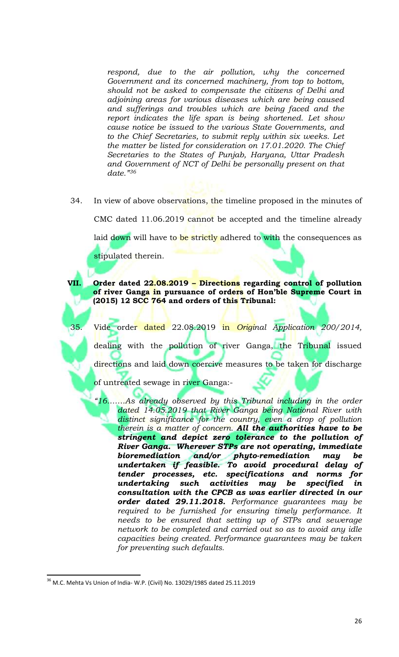*respond, due to the air pollution, why the concerned Government and its concerned machinery, from top to bottom, should not be asked to compensate the citizens of Delhi and adjoining areas for various diseases which are being caused and sufferings and troubles which are being faced and the report indicates the life span is being shortened. Let show cause notice be issued to the various State Governments, and to the Chief Secretaries, to submit reply within six weeks. Let the matter be listed for consideration on 17.01.2020. The Chief Secretaries to the States of Punjab, Haryana, Uttar Pradesh and Government of NCT of Delhi be personally present on that date."<sup>36</sup>*

34. In view of above observations, the timeline proposed in the minutes of

CMC dated 11.06.2019 cannot be accepted and the timeline already

laid down will have to be strictly adhered to with the consequences as

stipulated therein.

### **VII. Order dated 22.08.2019 – Directions regarding control of pollution of river Ganga in pursuance of orders of Hon'ble Supreme Court in (2015) 12 SCC 764 and orders of this Tribunal:**

35. Vide order dated 22.08.2019 in *Original Application 200/2014,*  dealing with the pollution of river Ganga, the Tribunal issued directions and laid down coercive measures to be taken for discharge

of untreated sewage in river Ganga:-

*"16…….As already observed by this Tribunal including in the order dated 14.05.2019 that River Ganga being National River with distinct significance for the country, even a drop of pollution therein is a matter of concern. All the authorities have to be stringent and depict zero tolerance to the pollution of River Ganga. Wherever STPs are not operating, immediate bioremediation and/or phyto-remediation may be undertaken if feasible. To avoid procedural delay of tender processes, etc. specifications and norms for undertaking such activities may be specified in consultation with the CPCB as was earlier directed in our order dated 29.11.2018. Performance guarantees may be required to be furnished for ensuring timely performance. It needs to be ensured that setting up of STPs and sewerage network to be completed and carried out so as to avoid any idle capacities being created. Performance guarantees may be taken for preventing such defaults.*

 $36$  M.C. Mehta Vs Union of India-W.P. (Civil) No. 13029/1985 dated 25.11.2019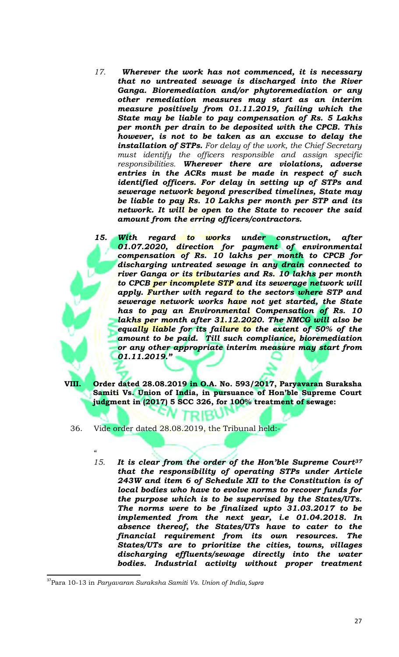- *17. Wherever the work has not commenced, it is necessary that no untreated sewage is discharged into the River Ganga. Bioremediation and/or phytoremediation or any other remediation measures may start as an interim measure positively from 01.11.2019, failing which the State may be liable to pay compensation of Rs. 5 Lakhs per month per drain to be deposited with the CPCB. This however, is not to be taken as an excuse to delay the installation of STPs. For delay of the work, the Chief Secretary must identify the officers responsible and assign specific responsibilities. Wherever there are violations, adverse entries in the ACRs must be made in respect of such identified officers. For delay in setting up of STPs and sewerage network beyond prescribed timelines, State may be liable to pay Rs. 10 Lakhs per month per STP and its network. It will be open to the State to recover the said amount from the erring officers/contractors.*
- *15. With regard to works under construction, after 01.07.2020, direction for payment of environmental compensation of Rs. 10 lakhs per month to CPCB for discharging untreated sewage in any drain connected to river Ganga or its tributaries and Rs. 10 lakhs per month to CPCB per incomplete STP and its sewerage network will apply. Further with regard to the sectors where STP and sewerage network works have not yet started, the State has to pay an Environmental Compensation of Rs. 10 lakhs per month after 31.12.2020. The NMCG will also be equally liable for its failure to the extent of 50% of the amount to be paid. Till such compliance, bioremediation or any other appropriate interim measure may start from 01.11.2019."*
- **VIII. Order dated 28.08.2019 in O.A. No. 593/2017, Paryavaran Suraksha Samiti Vs. Union of India, in pursuance of Hon'ble Supreme Court judgment in (2017) 5 SCC 326, for 100% treatment of sewage:**

TRIBUT

- 36. Vide order dated 28.08.2019, the Tribunal held:-
	- $\epsilon$ *15. It is clear from the order of the Hon'ble Supreme Court<sup>37</sup> that the responsibility of operating STPs under Article 243W and item 6 of Schedule XII to the Constitution is of local bodies who have to evolve norms to recover funds for the purpose which is to be supervised by the States/UTs. The norms were to be finalized upto 31.03.2017 to be implemented from the next year, i.e 01.04.2018. In absence thereof, the States/UTs have to cater to the financial requirement from its own resources. The States/UTs are to prioritize the cities, towns, villages discharging effluents/sewage directly into the water bodies. Industrial activity without proper treatment*

<sup>37</sup>Para 10-13 in *Paryavaran Suraksha Samiti Vs. Union of India*, *Supra*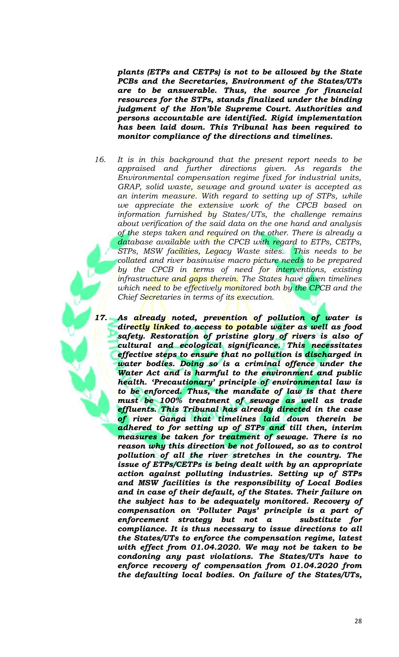*plants (ETPs and CETPs) is not to be allowed by the State PCBs and the Secretaries, Environment of the States/UTs are to be answerable. Thus, the source for financial resources for the STPs, stands finalized under the binding judgment of the Hon'ble Supreme Court. Authorities and persons accountable are identified. Rigid implementation has been laid down. This Tribunal has been required to monitor compliance of the directions and timelines.* 

- *16. It is in this background that the present report needs to be appraised and further directions given. As regards the Environmental compensation regime fixed for industrial units, GRAP, solid waste, sewage and ground water is accepted as an interim measure. With regard to setting up of STPs, while we appreciate the extensive work of the CPCB based on information furnished by States/UTs, the challenge remains about verification of the said data on the one hand and analysis of the steps taken and required on the other. There is already a database available with the CPCB with regard to ETPs, CETPs, STPs, MSW facilities, Legacy Waste sites. This needs to be collated and river basinwise macro picture needs to be prepared by the CPCB in terms of need for interventions, existing infrastructure and gaps therein. The States have given timelines which need to be effectively monitored both by the CPCB and the Chief Secretaries in terms of its execution.*
- *17. As already noted, prevention of pollution of water is directly linked to access to potable water as well as food safety. Restoration of pristine glory of rivers is also of cultural and ecological significance. This necessitates effective steps to ensure that no pollution is discharged in water bodies. Doing so is a criminal offence under the Water Act and is harmful to the environment and public health. 'Precautionary' principle of environmental law is to be enforced. Thus, the mandate of law is that there must be 100% treatment of sewage as well as trade effluents. This Tribunal has already directed in the case of river Ganga that timelines laid down therein be adhered to for setting up of STPs and till then, interim measures be taken for treatment of sewage. There is no reason why this direction be not followed, so as to control pollution of all the river stretches in the country. The issue of ETPs/CETPs is being dealt with by an appropriate action against polluting industries. Setting up of STPs and MSW facilities is the responsibility of Local Bodies and in case of their default, of the States. Their failure on the subject has to be adequately monitored. Recovery of compensation on 'Polluter Pays' principle is a part of enforcement strategy but not a substitute for compliance. It is thus necessary to issue directions to all the States/UTs to enforce the compensation regime, latest with effect from 01.04.2020. We may not be taken to be condoning any past violations. The States/UTs have to enforce recovery of compensation from 01.04.2020 from the defaulting local bodies. On failure of the States/UTs,*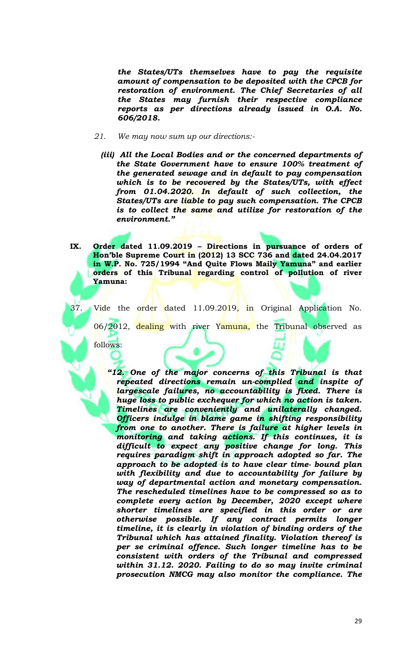*the States/UTs themselves have to pay the requisite amount of compensation to be deposited with the CPCB for restoration of environment. The Chief Secretaries of all the States may furnish their respective compliance reports as per directions already issued in O.A. No. 606/2018.* 

- *21. We may now sum up our directions:-*
	- *(iii) All the Local Bodies and or the concerned departments of the State Government have to ensure 100% treatment of the generated sewage and in default to pay compensation which is to be recovered by the States/UTs, with effect from 01.04.2020. In default of such collection, the States/UTs are liable to pay such compensation. The CPCB is to collect the same and utilize for restoration of the environment."*

**IX. Order dated 11.09.2019 – Directions in pursuance of orders of Hon'ble Supreme Court in (2012) 13 SCC 736 and dated 24.04.2017 in W.P. No. 725/1994 "And Quite Flows Maily Yamuna" and earlier orders of this Tribunal regarding control of pollution of river Yamuna:**

37. Vide the order dated 11.09.2019, in Original Application No.

06/2012, dealing with river Yamuna, the Tribunal observed as

follows:

*"12. One of the major concerns of this Tribunal is that repeated directions remain un-complied and inspite of largescale failures, no accountability is fixed. There is huge loss to public exchequer for which no action is taken. Timelines are conveniently and unilaterally changed. Officers indulge in blame game in shifting responsibility from one to another. There is failure at higher levels in monitoring and taking actions. If this continues, it is difficult to expect any positive change for long. This requires paradigm shift in approach adopted so far. The approach to be adopted is to have clear time- bound plan with flexibility and due to accountability for failure by way of departmental action and monetary compensation. The rescheduled timelines have to be compressed so as to complete every action by December, 2020 except where shorter timelines are specified in this order or are otherwise possible. If any contract permits longer timeline, it is clearly in violation of binding orders of the Tribunal which has attained finality. Violation thereof is per se criminal offence. Such longer timeline has to be consistent with orders of the Tribunal and compressed within 31.12. 2020. Failing to do so may invite criminal prosecution NMCG may also monitor the compliance. The*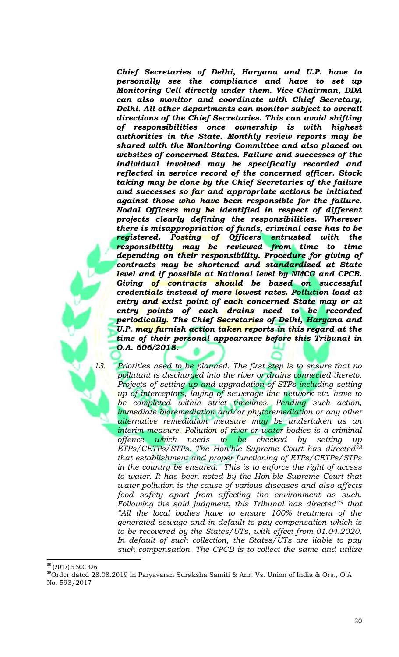*Chief Secretaries of Delhi, Haryana and U.P. have to personally see the compliance and have to set up Monitoring Cell directly under them. Vice Chairman, DDA can also monitor and coordinate with Chief Secretary, Delhi. All other departments can monitor subject to overall directions of the Chief Secretaries. This can avoid shifting of responsibilities once ownership is with highest authorities in the State. Monthly review reports may be shared with the Monitoring Committee and also placed on websites of concerned States. Failure and successes of the individual involved may be specifically recorded and reflected in service record of the concerned officer. Stock taking may be done by the Chief Secretaries of the failure and successes so far and appropriate actions be initiated against those who have been responsible for the failure. Nodal Officers may be identified in respect of different projects clearly defining the responsibilities. Wherever there is misappropriation of funds, criminal case has to be registered. Posting of Officers entrusted with the responsibility may be reviewed from time to time depending on their responsibility. Procedure for giving of contracts may be shortened and standardized at State level and if possible at National level by NMCG and CPCB. Giving of contracts should be based on successful credentials instead of mere lowest rates. Pollution load at entry and exist point of each concerned State may or at entry points of each drains need to be recorded periodically. The Chief Secretaries of Delhi, Haryana and U.P. may furnish action taken reports in this regard at the time of their personal appearance before this Tribunal in O.A. 606/2018.*

*13. Priorities need to be planned. The first step is to ensure that no pollutant is discharged into the river or drains connected thereto. Projects of setting up and upgradation of STPs including setting up of interceptors, laying of sewerage line network etc. have to be completed within strict timelines. Pending such action, immediate bioremediation and/or phytoremediation or any other alternative remediation measure may be undertaken as an interim measure. Pollution of river or water bodies is a criminal offence which needs to be checked by setting up ETPs/CETPs/STPs. The Hon'ble Supreme Court has directed<sup>38</sup> that establishment and proper functioning of ETPs/CETPs/STPs in the country be ensured. This is to enforce the right of access to water. It has been noted by the Hon'ble Supreme Court that water pollution is the cause of various diseases and also affects food safety apart from affecting the environment as such. Following the said judgment, this Tribunal has directed<sup>39</sup> that "All the local bodies have to ensure 100% treatment of the generated sewage and in default to pay compensation which is to be recovered by the States/UTs, with effect from 01.04.2020. In default of such collection, the States/UTs are liable to pay such compensation. The CPCB is to collect the same and utilize* 

<sup>&</sup>lt;sup>38</sup> (2017) 5 SCC 326

<sup>&</sup>lt;sup>39</sup>Order dated 28.08.2019 in Paryavaran Suraksha Samiti & Anr. Vs. Union of India & Ors., O.A No. 593/2017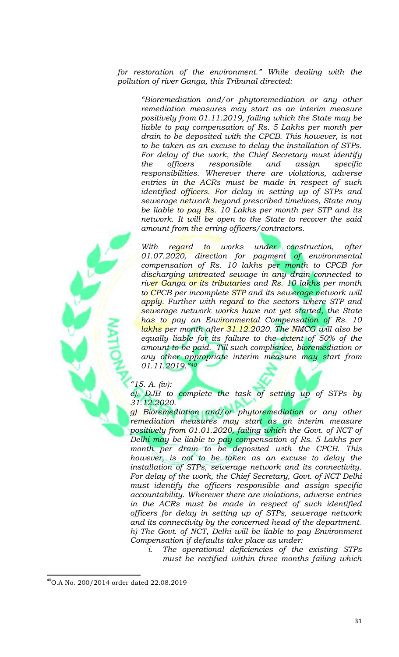*for restoration of the environment." While dealing with the pollution of river Ganga, this Tribunal directed:*

*"Bioremediation and/or phytoremediation or any other remediation measures may start as an interim measure positively from 01.11.2019, failing which the State may be liable to pay compensation of Rs. 5 Lakhs per month per drain to be deposited with the CPCB. This however, is not to be taken as an excuse to delay the installation of STPs. For delay of the work, the Chief Secretary must identify the officers responsible and assign specific responsibilities. Wherever there are violations, adverse entries in the ACRs must be made in respect of such identified officers. For delay in setting up of STPs and sewerage network beyond prescribed timelines, State may be liable to pay Rs. 10 Lakhs per month per STP and its network. It will be open to the State to recover the said amount from the erring officers/contractors.*

With regard to works under construction, after *01.07.2020, direction for payment of environmental compensation of Rs. 10 lakhs per month to CPCB for discharging untreated sewage in any drain connected to river Ganga or its tributaries and Rs. 10 lakhs per month to CPCB per incomplete STP and its sewerage network will apply. Further with regard to the sectors where STP and sewerage network works have not yet started, the State has to pay an Environmental Compensation of Rs. 10 lakhs per month after 31.12.2020. The NMCG will also be equally liable for its failure to the extent of 50% of the amount to be paid. Till such compliance, bioremediation or any other appropriate interim measure may start from 01.11.2019."<sup>40</sup>*

### *"15. A. (iv):*

*e). DJB to complete the task of setting up of STPs by 31.12.2020.*

*g) Bioremediation and/or phytoremediation or any other remediation measures may start as an interim measure positively from 01.01.2020, failing which the Govt. of NCT of Delhi may be liable to pay compensation of Rs. 5 Lakhs per month per drain to be deposited with the CPCB. This however, is not to be taken as an excuse to delay the installation of STPs, sewerage network and its connectivity. For delay of the work, the Chief Secretary, Govt. of NCT Delhi must identify the officers responsible and assign specific accountability. Wherever there are violations, adverse entries in the ACRs must be made in respect of such identified officers for delay in setting up of STPs, sewerage network and its connectivity by the concerned head of the department. h) The Govt. of NCT, Delhi will be liable to pay Environment Compensation if defaults take place as under:*

*i. The operational deficiencies of the existing STPs must be rectified within three months failing which* 

<sup>40</sup>O.A No. 200/2014 order dated 22.08.2019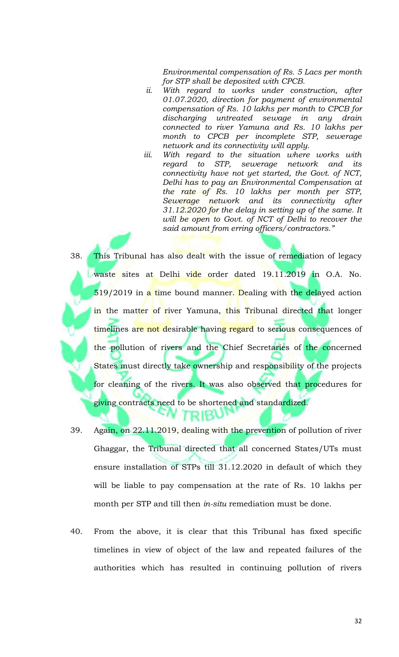*Environmental compensation of Rs. 5 Lacs per month for STP shall be deposited with CPCB.*

- *ii. With regard to works under construction, after 01.07.2020, direction for payment of environmental compensation of Rs. 10 lakhs per month to CPCB for discharging untreated sewage in any drain connected to river Yamuna and Rs. 10 lakhs per month to CPCB per incomplete STP, sewerage network and its connectivity will apply.*
- *iii. With regard to the situation where works with regard to STP, sewerage network and its connectivity have not yet started, the Govt. of NCT, Delhi has to pay an Environmental Compensation at the rate of Rs. 10 lakhs per month per STP, Sewerage network and its connectivity after 31.12.2020 for the delay in setting up of the same. It will be open to Govt. of NCT of Delhi to recover the said amount from erring officers/contractors."*

38. This Tribunal has also dealt with the issue of remediation of legacy waste sites at Delhi vide order dated 19.11.2019 in O.A. No. 519/2019 in a time bound manner. Dealing with the delayed action in the matter of river Yamuna, this Tribunal directed that longer timelines are not desirable having regard to serious consequences of the pollution of rivers and the Chief Secretaries of the concerned States must directly take ownership and responsibility of the projects for cleaning of the rivers. It was also observed that procedures for g<mark>iving contracts need</mark> to be shortened and standardized.

- 39. Again, on 22.11.2019, dealing with the prevention of pollution of river Ghaggar, the Tribunal directed that all concerned States/UTs must ensure installation of STPs till 31.12.2020 in default of which they will be liable to pay compensation at the rate of Rs. 10 lakhs per month per STP and till then *in-situ* remediation must be done.
- 40. From the above, it is clear that this Tribunal has fixed specific timelines in view of object of the law and repeated failures of the authorities which has resulted in continuing pollution of rivers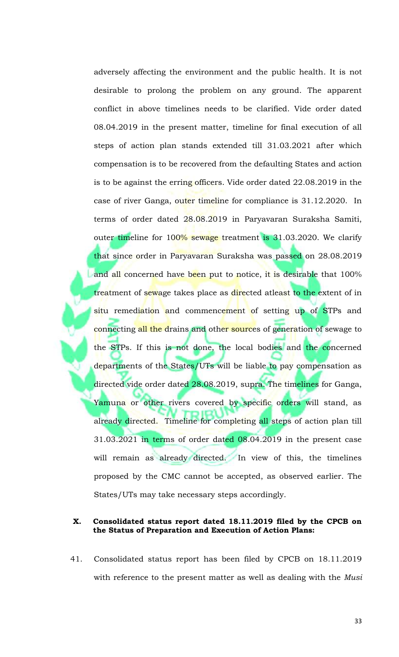adversely affecting the environment and the public health. It is not desirable to prolong the problem on any ground. The apparent conflict in above timelines needs to be clarified. Vide order dated 08.04.2019 in the present matter, timeline for final execution of all steps of action plan stands extended till 31.03.2021 after which compensation is to be recovered from the defaulting States and action is to be against the erring officers. Vide order dated 22.08.2019 in the case of river Ganga, outer timeline for compliance is 31.12.2020. In terms of order dated 28.08.2019 in Paryavaran Suraksha Samiti, outer timeline for 100% sewage treatment is 31.03.2020. We clarify that since order in Paryavaran Suraksha was passed on 28.08.2019 and all concerned have been put to notice, it is desirable that 100% treatment of sewage takes place as directed atleast to the extent of in situ remediation and commencement of setting up of STPs and connecting all the drains and other sources of generation of sewage to the STPs. If this is not done, the local bodies and the concerned departments of the States/UTs will be liable to pay compensation as directed vide order dated 28.08.2019, supra. The timelines for Ganga, Yamuna or other rivers covered by specific orders will stand, as already directed. Timeline for completing all steps of action plan till 31.03.2021 in terms of order dated 08.04.2019 in the present case will remain as already directed. In view of this, the timelines proposed by the CMC cannot be accepted, as observed earlier. The States/UTs may take necessary steps accordingly.

### **X. Consolidated status report dated 18.11.2019 filed by the CPCB on the Status of Preparation and Execution of Action Plans:**

41. Consolidated status report has been filed by CPCB on 18.11.2019 with reference to the present matter as well as dealing with the *Musi*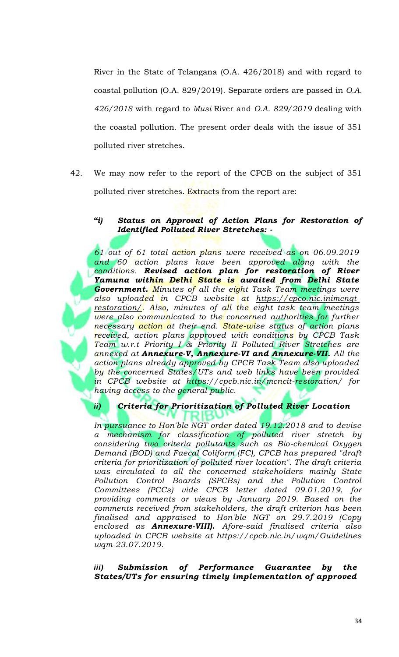River in the State of Telangana (O.A. 426/2018) and with regard to coastal pollution (O.A. 829/2019). Separate orders are passed in *O.A. 426/2018* with regard to *Musi* River and *O.A. 829/2019* dealing with the coastal pollution. The present order deals with the issue of 351 polluted river stretches.

42. We may now refer to the report of the CPCB on the subject of 351 polluted river stretches. Extracts from the report are:

## *"i) Status on Approval of Action Plans for Restoration of Identified Polluted River Stretches: -*

*61 out of 61 total action plans were received as on 06.09.2019 and 60 action plans have been approved along with the conditions. Revised action plan for restoration of River Yamuna within Delhi State is awaited from Delhi State Government. Minutes of all the eight Task Team meetings were also uploaded in CPCB website at https://cpco.nic.inimcngtrestoration/. Also, minutes of all the eight task team meetings were also communicated to the concerned authorities for further necessary action at their end. State-wise status of action plans received, action plans approved with conditions by CPCB Task Team w.r.t Priority I & Priority II Polluted River Stretches are annexed at Annexure-V, Annexure-VI and Annexure-VII. All the action plans already approved by CPCB Task Team also uploaded by the concerned States/UTs and web links have been provided in CPCB website at https://cpcb.nic.in/mcncit-restoration/ for having access to the general public.*

## *ii) Criteria for Prioritization of Polluted River Location*

*In pursuance to Hon'ble NGT order dated 19.12.2018 and to devise a mechanism for classification of polluted river stretch by considering two criteria pollutants such as Bio-chemical Oxygen Demand (BOD) and Faecal Coliform (FC), CPCB has prepared "draft criteria for prioritization of polluted river location". The draft criteria was circulated to all the concerned stakeholders mainly State Pollution Control Boards (SPCBs) and the Pollution Control Committees (PCCs) vide CPCB letter dated 09.01.2019, for providing comments or views by January 2019. Based on the comments received from stakeholders, the draft criterion has been finalised and appraised to Hon'ble NGT on 29.7.2019 (Copy enclosed as Annexure-VIII). Afore-said finalised criteria also uploaded in CPCB website at https://cpcb.nic.in/wqm/Guidelines wqm-23.07.2019.*

*iii) Submission of Performance Guarantee by the States/UTs for ensuring timely implementation of approved*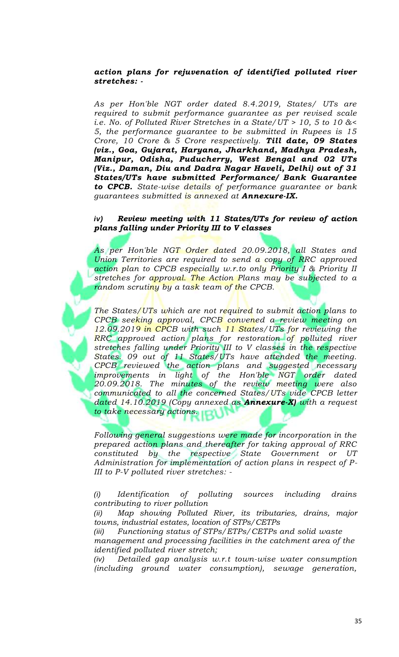### *action plans for rejuvenation of identified polluted river stretches: -*

*As per Hon'ble NGT order dated 8.4.2019, States/ UTs are required to submit performance guarantee as per revised scale i.e. No. of Polluted River Stretches in a State/UT > 10, 5 to 10 &< 5, the performance guarantee to be submitted in Rupees is 15 Crore, 10 Crore & 5 Crore respectively. Till date, 09 States (viz., Goa, Gujarat, Haryana, Jharkhand, Madhya Pradesh, Manipur, Odisha, Puducherry, West Bengal and 02 UTs (Viz., Daman, Diu and Dadra Nagar Haveli, Delhi) out of 31 States/UTs have submitted Performance/ Bank Guarantee to CPCB. State-wise details of performance guarantee or bank guarantees submitted is annexed at Annexure-IX.*

### *iv) Review meeting with 11 States/UTs for review of action plans falling under Priority III to V classes*

*As per Hon'ble NGT Order dated 20.09.2018, all States and Union Territories are required to send a copy of RRC approved action plan to CPCB especially w.r.to only Priority I & Priority II stretches for approval. The Action Plans may be subjected to a random scrutiny by a task team of the CPCB.*

*The States/UTs which are not required to submit action plans to CPCB seeking approval, CPCB convened a review meeting on 12.09.2019 in CPCB with such 11 States/UTs for reviewing the RRC approved action plans for restoration of polluted river stretches falling under Priority III to V classes in the respective States. 09 out of 11 States/UTs have attended the meeting. CPCB reviewed the action plans and suggested necessary improvements in light of the Hon'ble NGT order dated 20.09.2018. The minutes of the review meeting were also communicated to all the concerned States/UTs vide CPCB letter dated 14.10.2019 (Copy annexed as Annexure-X) with a request to take necessary actions.*

*Following general suggestions were made for incorporation in the prepared action plans and thereafter for taking approval of RRC constituted by the respective State Government or UT Administration for implementation of action plans in respect of P-III to P-V polluted river stretches: -*

*(i) Identification of polluting sources including drains contributing to river pollution*

*(ii) Map showing Polluted River, its tributaries, drains, major towns, industrial estates, location of STPs/CETPs*

*(iii) Functioning status of STPs/ETPs/CETPs and solid waste management and processing facilities in the catchment area of the identified polluted river stretch;*

*(iv) Detailed gap analysis w.r.t town-wise water consumption (including ground water consumption), sewage generation,*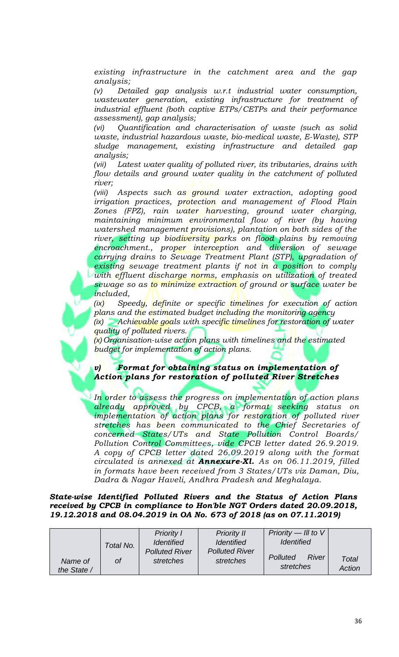*existing infrastructure in the catchment area and the gap analysis;*

*(v) Detailed gap analysis w.r.t industrial water consumption, wastewater generation, existing infrastructure for treatment of industrial effluent (both captive ETPs/CETPs and their performance assessment), gap analysis;*

*(vi) Quantification and characterisation of waste (such as solid waste, industrial hazardous waste, bio-medical waste, E-Waste), STP sludge management, existing infrastructure and detailed gap analysis;*

*(vii) Latest water quality of polluted river, its tributaries, drains with flow details and ground water quality in the catchment of polluted river;*

*(viii) Aspects such as ground water extraction, adopting good irrigation practices, protection and management of Flood Plain Zones (FPZ), rain water harvesting, ground water charging, maintaining minimum environmental flow of river (by having watershed management provisions), plantation on both sides of the river, setting up biodiversity parks on flood plains by removing encroachment., proper interception and diversion of sewage carrying drains to Sewage Treatment Plant (STP), upgradation of existing sewage treatment plants if not in a position to comply with effluent discharge norms, emphasis on utilization of treated sewage so as to minimize extraction of ground or surface water be included,*

*(ix) Speedy, definite or specific timelines for execution of action plans and the estimated budget including the monitoring agency*

*(ix) Achievable goals with specific timelines for restoration of water quality of polluted rivers.*

*(x)Organisation-wise action plans with timelines and the estimated budget for implementation of action plans.*

*v) Format for obtaining status on implementation of Action plans for restoration of polluted River Stretches*

*In order to assess the progress on implementation of action plans already approved by CPCB, a format seeking status on implementation of action plans for restoration of polluted river stretches has been communicated to the Chief Secretaries of concerned States/UTs and State Pollution Control Boards/ Pollution Control Committees, vide CPCB letter dated 26.9.2019. A copy of CPCB letter dated 26.09.2019 along with the format circulated is annexed at Annexure-Xl. As on 06.11.2019, filled in formats have been received from 3 States/UTs viz Daman, Diu, Dadra & Nagar Haveli, Andhra Pradesh and Meghalaya.*

*State-wise Identified Polluted Rivers and the Status of Action Plans received by CPCB in compliance to Hon'ble NGT Orders dated 20.09.2018, 19.12.2018 and 08.04.2019 in OA No. 673 of 2018 (as on 07.11.2019)*

|                        | Total No. | <b>Priority I</b><br><b>Identified</b> | <b>Priority II</b><br><i><u><b>Identified</b></u></i> | Priority $-$ III to V<br><i><u><b>Identified</b></u></i> |                 |
|------------------------|-----------|----------------------------------------|-------------------------------------------------------|----------------------------------------------------------|-----------------|
| Name of<br>the State / | Οf        | <b>Polluted River</b><br>stretches     | <b>Polluted River</b><br>stretches                    | Polluted<br><b>River</b><br>stretches                    | Total<br>Action |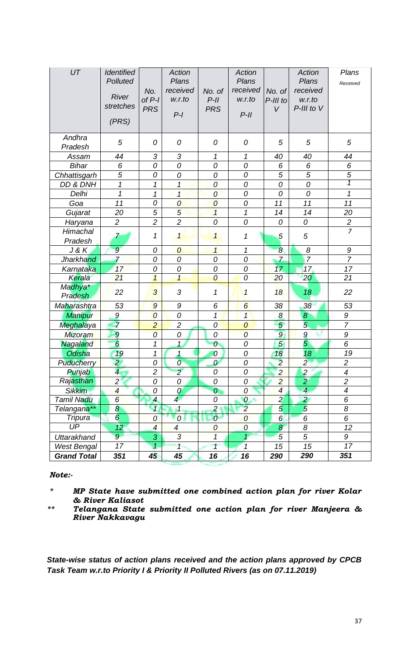| UT                       | <b>Identified</b><br>Polluted<br><b>River</b><br>stretches<br>(PRS) | No.<br>$of P-I$<br><b>PRS</b> | <b>Action</b><br>Plans<br>received<br>w.r.to<br>$P-I$ | No. of<br>$P-II$<br><b>PRS</b> | <b>Action</b><br>Plans<br>received<br>w.r.to<br>$P-II$ | No. of<br>P-III to<br>$\vee$ | <b>Action</b><br>Plans<br>received<br>w.r.to<br>P-III to V | Plans<br>Received        |
|--------------------------|---------------------------------------------------------------------|-------------------------------|-------------------------------------------------------|--------------------------------|--------------------------------------------------------|------------------------------|------------------------------------------------------------|--------------------------|
| Andhra<br>Pradesh        | 5                                                                   | 0                             | 0                                                     | 0                              | 0                                                      | 5                            | 5                                                          | $\sqrt{5}$               |
| Assam                    | 44                                                                  | $\sqrt{3}$                    | 3                                                     | 1                              | 1                                                      | 40                           | 40                                                         | 44                       |
| <b>Bihar</b>             | 6                                                                   | 0                             | 0                                                     | 0                              | 0                                                      | 6                            | 6                                                          | 6                        |
| Chhattisgarh             | 5                                                                   | 0                             | 0                                                     | $\mathcal O$                   | 0                                                      | 5                            | $\overline{5}$                                             | $\overline{5}$           |
| DD & DNH                 | $\mathbf 1$                                                         | 1                             | $\mathbf{1}$                                          | $\overline{0}$                 | 0                                                      | 0                            | 0                                                          | 1                        |
| Delhi                    | 1                                                                   | 1                             | $\mathbf{1}$                                          | 0                              | 0                                                      | 0                            | 0                                                          | 1                        |
| Goa                      | 11                                                                  | 0                             | $\overline{O}$                                        | $\boldsymbol{0}$               | 0                                                      | 11                           | 11                                                         | 11                       |
| Gujarat                  | 20                                                                  | 5                             | 5                                                     | $\overline{1}$                 | 1                                                      | 14                           | 14                                                         | 20                       |
| Haryana                  | $\overline{c}$                                                      | $\overline{2}$                | $\overline{c}$                                        | $\overline{O}$                 | 0                                                      | 0                            | 0                                                          | $rac{2}{7}$              |
| Himachal<br>Pradesh      | 7                                                                   | 1                             | $\mathbf{1}$                                          | $\overline{\mathbf{1}}$        | 1                                                      | 5                            | 5                                                          |                          |
| J & K                    | $\overline{9}$                                                      | 0                             | $\boldsymbol{0}$                                      | 1                              | 1                                                      | $\boldsymbol{\delta}$        | 8                                                          | 9                        |
| <b>Jharkhand</b>         | $\overline{7}$                                                      | 0                             | 0                                                     | 0                              | 0                                                      | $\overline{7}$               | $\overline{7}$                                             | $\overline{7}$           |
| Karnataka                | 17                                                                  | 0                             | $\overline{O}$                                        | 0                              | 0                                                      | 17 <sup>2</sup>              | 17                                                         | 17                       |
| Kerala                   | 21                                                                  | $\mathcal{I}$                 | $\mathbf{1}$                                          | $\overline{0}$                 | 0                                                      | 20                           | 20                                                         | 21                       |
| Madhya*<br>Pradesh       | 22                                                                  | 3                             | 3                                                     | 1                              | 1                                                      | 18                           | 18                                                         | 22                       |
| Maharashtra              | 53                                                                  | $\overline{9}$                | 9                                                     | 6                              | 6                                                      | 38                           | 38                                                         | 53                       |
| Manipur                  | $\boldsymbol{9}$                                                    | $\overline{0}$                | 0                                                     | 1                              | $\overline{\mathbf{1}}$                                | $\boldsymbol{\delta}$        | $\boldsymbol{8}$                                           | 9                        |
| Meghalaya                | $\overline{7}$                                                      | $\overline{c}$                | $\overline{c}$                                        | $\overline{O}$                 | $\mathcal O$                                           | $\overline{5}$               | 5                                                          | $\overline{7}$           |
| Mizoram                  | $\mathcal{Q}$                                                       | $\overline{O}$                | 0                                                     | $\mathcal O$                   | $\overline{O}$                                         | $\overline{9}$               | $\boldsymbol{9}$                                           | 9                        |
| Nagaland                 | $\overline{6}$                                                      | 1                             | $\mathbf{1}$                                          | 0                              | 0                                                      | $\sqrt{5}$                   | $\overline{5}$                                             | 6                        |
| Odisha                   | 19                                                                  | 1                             | $\mathbf{1}$                                          | $\overline{0}$                 | 0                                                      | 18                           | 18                                                         | 19                       |
| Puducherry               | $\overline{a}$                                                      | 0                             | $\overline{O}$                                        | 0                              | 0                                                      | $\overline{2}$               | $\overline{2}$                                             | $\overline{c}$           |
| Punjab                   | $\overline{4}$                                                      | $\overline{c}$                | $\overline{2}$                                        | 0                              | 0                                                      | $\overline{2}$               | $\overline{c}$                                             | $\overline{\mathcal{A}}$ |
| Rajasthan                | $\overline{c}$                                                      | ${\cal O}$                    | 0                                                     | ${\cal O}$                     | 0                                                      | $\overline{2}$               | $\overline{2}$                                             | $\overline{c}$           |
| <b>Sikkim</b>            | $\overline{4}$                                                      | 0                             | 0                                                     | $\mathcal O$                   | 0                                                      | $\overline{\mathcal{A}}$     | $\overline{\mathcal{A}}$                                   | $\overline{\mathcal{A}}$ |
| Tamil Nadu               | $\overline{6}$                                                      | $\overline{4}$                | 4                                                     | 0                              | $\boldsymbol{0}$                                       | $\overline{2}$               | $\overline{2}$                                             | $\overline{6}$           |
| Telangana**              | $\boldsymbol{8}$                                                    | $\overline{1}$                | $\mathbf{1}$                                          | $\overline{a}$                 | $\overline{2}$                                         | 5                            | $\overline{5}$                                             | 8                        |
| <b>Tripura</b>           | $\overline{6}$                                                      | $\boldsymbol{0}$              | 0                                                     | $\overline{0}$                 | $\overline{0}$                                         | 6                            | 6                                                          | 6                        |
| $\overline{\mathsf{UP}}$ | 12 <sub>2</sub>                                                     | $\overline{4}$                | $\overline{4}$                                        | $\overline{O}$                 | $\overline{O}$                                         | $\overline{8}$               | 8                                                          | 12                       |
| <b>Uttarakhand</b>       | $9^{\circ}$                                                         | 3                             | $\overline{3}$                                        | $\overline{\mathcal{L}}$       | 1                                                      | 5                            | 5                                                          | 9                        |
| <b>West Bengal</b>       | 17                                                                  | $\mathbf{1}$                  | $\mathbf{1}$                                          | 1                              | $\mathcal{I}$                                          | 15                           | 15                                                         | 17                       |
| <b>Grand Total</b>       | 351                                                                 | 45                            | 45                                                    | 16                             | 16                                                     | 290                          | 290                                                        | 351                      |

## *Note:-*

*\* MP State have submitted one combined action plan for river Kolar & River Kaliasot*

*\*\* Telangana State submitted one action plan for river Manjeera & River Nakkavagu*

*State-wise status of action plans received and the action plans approved by CPCB Task Team w.r.to Priority I & Priority II Polluted Rivers (as on 07.11.2019)*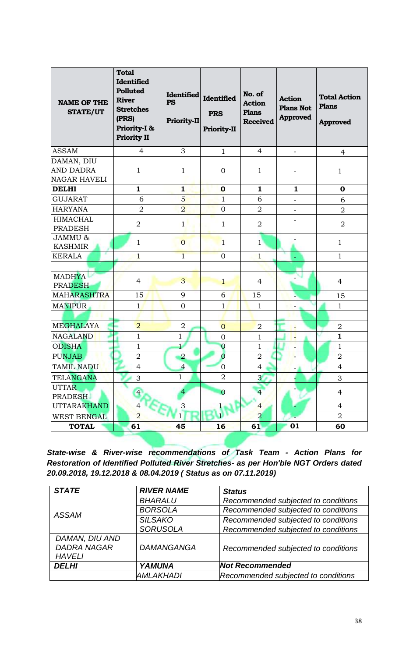| <b>NAME OF THE</b><br><b>STATE/UT</b>                 | <b>Total</b><br><b>Identified</b><br><b>Polluted</b><br><b>River</b><br><b>Stretches</b><br>(PRS)<br>Priority-I &<br><b>Priority II</b> | <b>Identified</b><br><b>PS</b><br>Priority-II | <b>Identified</b><br><b>PRS</b><br><b>Priority-II</b> | No. of<br><b>Action</b><br><b>Plans</b><br><b>Received</b> | <b>Action</b><br><b>Plans Not</b><br><b>Approved</b> | <b>Total Action</b><br><b>Plans</b><br><b>Approved</b> |
|-------------------------------------------------------|-----------------------------------------------------------------------------------------------------------------------------------------|-----------------------------------------------|-------------------------------------------------------|------------------------------------------------------------|------------------------------------------------------|--------------------------------------------------------|
| <b>ASSAM</b>                                          | $\overline{4}$                                                                                                                          | 3                                             | $\mathbf{1}$                                          | $\overline{4}$                                             |                                                      | $\overline{4}$                                         |
| DAMAN, DIU<br><b>AND DADRA</b><br><b>NAGAR HAVELI</b> | $\mathbf{1}$                                                                                                                            | $\mathbf{1}$                                  | $\overline{0}$                                        | $\mathbf{1}$                                               |                                                      | 1                                                      |
| <b>DELHI</b>                                          | $\mathbf{1}$                                                                                                                            | $\mathbf{1}$                                  | $\bf{O}$                                              | $\mathbf{1}$                                               | $\mathbf{1}$                                         | $\mathbf 0$                                            |
| <b>GUJARAT</b>                                        | 6                                                                                                                                       | $5\overline{}$                                | $\mathbf{1}$                                          | 6                                                          | $\overline{\phantom{a}}$                             | 6                                                      |
| <b>HARYANA</b>                                        | $\overline{2}$                                                                                                                          | $\overline{2}$                                | $\overline{0}$                                        | $\overline{2}$                                             | $\qquad \qquad -$                                    | $\overline{2}$                                         |
| <b>HIMACHAL</b><br><b>PRADESH</b>                     | $\overline{2}$                                                                                                                          | $\mathbf{1}$                                  | 1                                                     | $\overline{2}$                                             |                                                      | $\overline{2}$                                         |
| JAMMU &<br><b>KASHMIR</b>                             | $\mathbf{1}$                                                                                                                            | $\overline{0}$                                | $\mathbf{1}$                                          | $\mathbf{1}$                                               |                                                      | $\mathbf{1}$                                           |
| <b>KERALA</b>                                         | $\mathbf{1}$                                                                                                                            | $\mathbf{1}$                                  | $\overline{0}$                                        | $\mathbf{1}$                                               |                                                      | $\mathbf{1}$                                           |
|                                                       |                                                                                                                                         |                                               |                                                       |                                                            |                                                      |                                                        |
| <b>MADHYA</b><br><b>PRADESH</b>                       | $\overline{4}$                                                                                                                          | 3                                             | $\mathbf{1}$                                          | $\overline{4}$                                             |                                                      | $\overline{4}$                                         |
| <b>MAHARASHTRA</b>                                    | 15                                                                                                                                      | 9                                             | 6                                                     | 15                                                         |                                                      | 15                                                     |
| <b>MANIPUR</b>                                        | $\mathbf{1}$                                                                                                                            | $\overline{0}$                                | $\mathbf{1}$                                          | $\mathbf{1}$                                               |                                                      | $\mathbf{1}$                                           |
|                                                       |                                                                                                                                         |                                               |                                                       |                                                            |                                                      |                                                        |
| <b>MEGHALAYA</b>                                      | $\overline{2}$                                                                                                                          | $\overline{2}$                                | $\overline{0}$                                        | $\overline{2}$                                             | ۳                                                    | $\overline{2}$                                         |
| <b>NAGALAND</b>                                       | $\mathbf{1}$                                                                                                                            | $\mathbf{1}$                                  | $\overline{0}$                                        | $\mathbf{1}$                                               | ٠                                                    | $\mathbf{1}$                                           |
| <b>ODISHA</b>                                         | $\mathbf{1}$                                                                                                                            | $\mathbf{1}$                                  | $\overline{0}$                                        | $\mathbf{1}$                                               |                                                      | $\mathbf{1}$                                           |
| <b>PUNJAB</b>                                         | $\overline{2}$                                                                                                                          | $\overline{2}$                                | $\overline{0}$                                        | $\overline{2}$                                             | -                                                    | $\overline{2}$                                         |
| <b>TAMIL NADU</b>                                     | $\overline{4}$                                                                                                                          | $\overline{4}$                                | $\overline{0}$                                        | $\overline{4}$                                             |                                                      | $\overline{4}$                                         |
| <b>TELANGANA</b>                                      | 3                                                                                                                                       | $\mathbf{1}$                                  | $\overline{2}$                                        | $\overline{3}$                                             |                                                      | 3                                                      |
| <b>UTTAR</b><br><b>PRADESH</b>                        | $\overline{4}$                                                                                                                          |                                               | $\overline{0}$                                        | $\overline{4}$                                             |                                                      | $\overline{4}$                                         |
| <b>UTTARAKHAND</b>                                    | $\overline{4}$                                                                                                                          | 3                                             | $\mathbf{1}$                                          | $\overline{4}$                                             |                                                      | $\overline{4}$                                         |
| <b>WEST BENGAL</b>                                    | $\overline{2}$                                                                                                                          | $\mathbf{1}$                                  | 1                                                     | $\overline{2}$                                             |                                                      | $\overline{2}$                                         |
| <b>TOTAL</b>                                          | 61                                                                                                                                      | 45                                            | 16                                                    | 61                                                         | 01                                                   | 60                                                     |

*State-wise & River-wise recommendations of Task Team - Action Plans for Restoration of Identified Polluted River Stretches- as per Hon'ble NGT Orders dated 20.09.2018, 19.12.2018 & 08.04.2019 ( Status as on 07.11.2019)*

| <b>STATE</b>       | <b>RIVER NAME</b> | <b>Status</b>                       |  |  |
|--------------------|-------------------|-------------------------------------|--|--|
|                    | <b>BHARALU</b>    | Recommended subjected to conditions |  |  |
| ASSAM              | <b>BORSOLA</b>    | Recommended subjected to conditions |  |  |
|                    | <b>SILSAKO</b>    | Recommended subjected to conditions |  |  |
|                    | <b>SORUSOLA</b>   | Recommended subjected to conditions |  |  |
| DAMAN, DIU AND     |                   |                                     |  |  |
| <b>DADRA NAGAR</b> | <b>DAMANGANGA</b> | Recommended subjected to conditions |  |  |
| <b>HAVELI</b>      |                   |                                     |  |  |
| <b>DELHI</b>       | <b>YAMUNA</b>     | <b>Not Recommended</b>              |  |  |
|                    | AMLAKHADI         | Recommended subjected to conditions |  |  |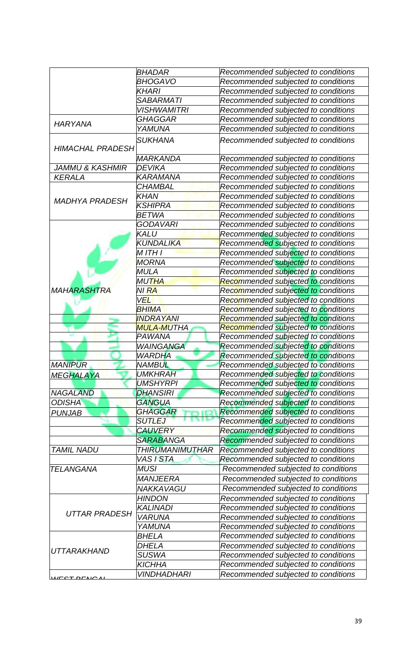|                            | <b>BHADAR</b>             | Recommended subjected to conditions                |
|----------------------------|---------------------------|----------------------------------------------------|
|                            | <b>BHOGAVO</b>            | Recommended subjected to conditions                |
|                            | KHARI                     | Recommended subjected to conditions                |
|                            | <i><b>SABARMATI</b></i>   | Recommended subjected to conditions                |
|                            | <i><b>VISHWAMITRI</b></i> | Recommended subjected to conditions                |
|                            | GHAGGAR                   | Recommended subjected to conditions                |
| <b>HARYANA</b>             | YAMUNA                    | Recommended subjected to conditions                |
| <b>HIMACHAL PRADESH</b>    | <b>SUKHANA</b>            | Recommended subjected to conditions                |
|                            | MARKANDA                  | Recommended subjected to conditions                |
| <b>JAMMU &amp; KASHMIR</b> | <b>DEVIKA</b>             | Recommended subjected to conditions                |
| <b>KERALA</b>              | KARAMANA                  | Recommended subjected to conditions                |
|                            | <b>CHAMBAL</b>            | Recommended subjected to conditions                |
|                            | <b>KHAN</b>               | Recommended subjected to conditions                |
| <b>MADHYA PRADESH</b>      | <b>KSHIPRA</b>            | Recommended subjected to conditions                |
|                            | <b>BETWA</b>              | Recommended subjected to conditions                |
|                            | GODAVARI                  | Recommended subjected to conditions                |
|                            | KALU                      | Recommended subjected to conditions                |
|                            | KUNDALIKA                 | Recommended subjected to conditions                |
|                            | M ITH I                   | Recommended subjected to conditions                |
|                            | <b>MORNA</b>              | Recommended subjected to conditions                |
|                            | <b>MULA</b>               | Recommended subjected to conditions                |
|                            | MUTHA                     | Recommended subjected to conditions                |
| <b>MAHARASHTRA</b>         | NI RA                     |                                                    |
|                            | <b>VEL</b>                | Rec <mark>om</mark> mended subjected to conditions |
|                            |                           | Recommended subjected to conditions                |
|                            | <b>BHIMA</b>              | Recommended subjected to conditions                |
|                            | <b>INDRAYANI</b>          | Recommended subjected to conditions                |
|                            | <b>MULA-MUTHA</b>         | Recommended subjected to conditions                |
|                            | PAWANA                    | Recommended subjected to conditions                |
|                            | <b>WAINGANGA</b>          | Recommended subjected to conditions                |
|                            | <b>WARDHA</b>             | Recommended subjected to conditions                |
| <b>MANIPUR</b>             | <b>NAMBUL</b>             | Recommended subjected to conditions                |
| <b>MEGHALAYA</b>           | <b>UMKHRAH</b>            | Recommended subjected to conditions                |
|                            | <b>UMSHYRPI</b>           | Recommended subjected to conditions                |
| <b>NAGALAND</b>            | <b>DHANSIRI</b>           | Recommended subjected to conditions                |
| <b>ODISHA</b>              | GANGUA                    | Recommended subjected to conditions                |
| <b>PUNJAB</b>              | GHAGGAR                   | Recommended subjected to conditions                |
|                            | <b>SUTLEJ</b>             | Recommended subjected to conditions                |
|                            | <b>CAUVERY</b>            | Recommended subjected to conditions                |
|                            | <b>SARABANGA</b>          | Recommended subjected to conditions                |
| <b>TAMIL NADU</b>          | <i>THIRUMANIMUTHAR</i>    | Recommended subjected to conditions                |
|                            | VAS I STA                 | Recommended subjected to conditions                |
| <b>TELANGANA</b>           | MUSI                      | Recommended subjected to conditions                |
|                            | <b>MANJEERA</b>           | Recommended subjected to conditions                |
|                            | NAKKAVAGU                 | Recommended subjected to conditions                |
|                            | <b>HINDON</b>             | Recommended subjected to conditions                |
|                            | <b>KALINADI</b>           | Recommended subjected to conditions                |
| <b>UTTAR PRADESH</b>       | <b>VARUNA</b>             | Recommended subjected to conditions                |
|                            | YAMUNA                    | Recommended subjected to conditions                |
|                            | <i><b>BHELA</b></i>       | Recommended subjected to conditions                |
|                            | <b>DHELA</b>              | Recommended subjected to conditions                |
| <b>UTTARAKHAND</b>         | SUSWA                     | Recommended subjected to conditions                |
|                            | <b>KICHHA</b>             | Recommended subjected to conditions                |
|                            | <b>VINDHADHARI</b>        |                                                    |
| $MFCTT$ DEMO AL            |                           | Recommended subjected to conditions                |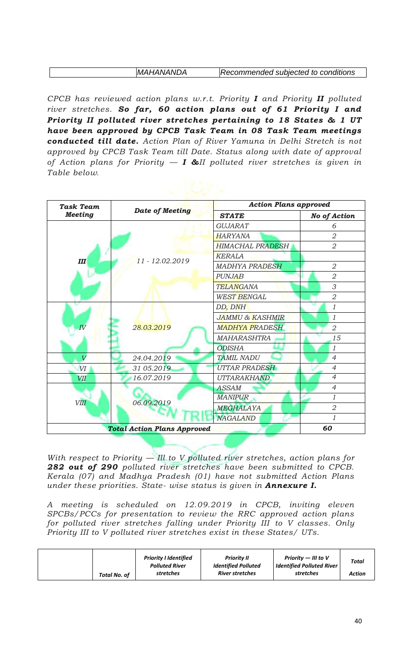| <b>MAHANANDA</b> | Recommended subjected to conditions |
|------------------|-------------------------------------|

*CPCB has reviewed action plans w.r.t. Priority I and Priority II polluted river stretches. So far, 60 action plans out of 61 Priority I and Priority II polluted river stretches pertaining to 18 States & 1 UT have been approved by CPCB Task Team in 08 Task Team meetings conducted till date. Action Plan of River Yamuna in Delhi Stretch is not approved by CPCB Task Team till Date. Status along with date of approval of Action plans for Priority — I &II polluted river stretches is given in Table below.*

| <b>Task Team</b> |                                    | <b>Action Plans approved</b> |                     |  |  |
|------------------|------------------------------------|------------------------------|---------------------|--|--|
| <b>Meeting</b>   | <b>Date of Meeting</b>             | <b>STATE</b>                 | <b>No of Action</b> |  |  |
|                  |                                    | <b>GUJARAT</b>               | 6                   |  |  |
|                  |                                    | HARYANA                      | $\overline{2}$      |  |  |
| Ш                |                                    | <b>HIMACHAL PRADESH</b>      | $\overline{2}$      |  |  |
|                  | $11 - 12.02.2019$                  | <b>KERALA</b>                |                     |  |  |
|                  |                                    | <b>MADHYA PRADESH</b>        | $\overline{2}$      |  |  |
|                  |                                    | <b>PUNJAB</b>                | $\overline{2}$      |  |  |
|                  |                                    | <b>TELANGANA</b>             | 3                   |  |  |
|                  |                                    | <b>WEST BENGAL</b>           | 2                   |  |  |
|                  |                                    | DD, DNH                      | 1                   |  |  |
|                  |                                    | <b>JAMMU &amp; KASHMIR</b>   | 1                   |  |  |
| $I\overline{V}$  | 28.03.2019                         | <b>MADHYA PRADESH</b>        | $\overline{2}$      |  |  |
|                  |                                    | <b>MAHARASHTRA</b>           | 15                  |  |  |
|                  |                                    | <b>ODISHA</b>                | 1                   |  |  |
| $\overline{V}$   | 24.04.2019                         | <b>TAMIL NADU</b>            | $\overline{4}$      |  |  |
| VI               | 31 05.2019                         | UTTAR PRADESH                | $\overline{4}$      |  |  |
| VII              | 16.07.2019                         | UTTARAKHAND                  | $\overline{4}$      |  |  |
|                  |                                    | <b>ASSAM</b>                 | $\overline{4}$      |  |  |
| <b>VIII</b>      | 06.09.2019                         | <b>MANIPUR</b>               | 1                   |  |  |
|                  |                                    | MEGHALAYA                    | 2                   |  |  |
|                  |                                    | <b>NAGALAND</b>              | 1                   |  |  |
|                  | <b>Total Action Plans Approved</b> |                              | 60                  |  |  |

*With respect to Priority — Ill to V polluted river stretches, action plans for 282 out of 290 polluted river stretches have been submitted to CPCB. Kerala (07) and Madhya Pradesh (01) have not submitted Action Plans under these priorities. State- wise status is given in Annexure I.*

*A meeting is scheduled on 12.09.2019 in CPCB, inviting eleven SPCBs/PCCs for presentation to review the RRC approved action plans for polluted river stretches falling under Priority III to V classes. Only Priority III to V polluted river stretches exist in these States/ UTs.*

| Total No. of | <b>Priority I Identified</b><br><b>Polluted River</b><br>stretches | <b>Priority II</b><br><b>Identified Polluted</b><br><b>River stretches</b> | Priority $-$ III to V<br><b>Identified Polluted River</b><br>stretches | <b>Total</b><br>Action |
|--------------|--------------------------------------------------------------------|----------------------------------------------------------------------------|------------------------------------------------------------------------|------------------------|
|--------------|--------------------------------------------------------------------|----------------------------------------------------------------------------|------------------------------------------------------------------------|------------------------|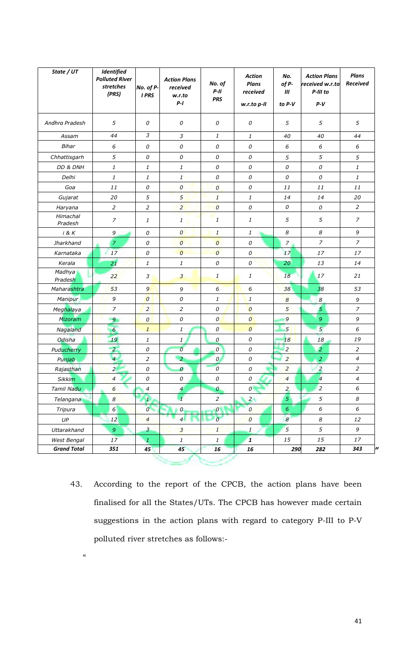| State / UT          | Identified<br><b>Polluted River</b><br>stretches<br>(PRS) | No. of P-<br><b>I PRS</b>                             | <b>Action Plans</b><br>received<br>w.r.to<br>$P-I$ | No. of<br>$P-II$<br><b>PRS</b>                        | <b>Action</b><br><b>Plans</b><br>received<br>w.r.to p-II | No.<br>of P-<br>Ш<br>to P-V | <b>Action Plans</b><br>received w.r.to<br>P-III to<br>$P-V$ | <b>Plans</b><br>Received                              |
|---------------------|-----------------------------------------------------------|-------------------------------------------------------|----------------------------------------------------|-------------------------------------------------------|----------------------------------------------------------|-----------------------------|-------------------------------------------------------------|-------------------------------------------------------|
| Andhra Pradesh      | $\sqrt{5}$                                                | 0                                                     | 0                                                  | 0                                                     | $\mathcal O$                                             | 5                           | 5                                                           | 5                                                     |
| Assam               | 44                                                        | $\ensuremath{\mathfrak{Z}}$                           | $\mathfrak{Z}$                                     | 1                                                     | $\mathbf{1}$                                             | 40                          | 40                                                          | 44                                                    |
| Bihar               | $\epsilon$                                                | $\mathcal O$                                          | $\mathcal O$                                       | 0                                                     | $\mathcal O$                                             | $\epsilon$                  | 6                                                           | $\epsilon$                                            |
| Chhattisgarh        | 5                                                         | $\mathcal O$                                          | $\mathcal O$                                       | 0                                                     | $\mathcal O$                                             | 5                           | 5                                                           | 5                                                     |
| DD & DNH            | $\it 1$                                                   | $\mathbf{1}% _{T}=\mathbf{1}_{T}\times\mathbf{1}_{T}$ | $\mathbf{1}$                                       | 0                                                     | $\mathcal O$                                             | $\mathcal O$                | 0                                                           | $\mathbf{1}$                                          |
| Delhi               | $\it 1$                                                   | 1                                                     | $\mathbf{1}$                                       | 0                                                     | $\mathcal O$                                             | $\mathcal O$                | 0                                                           | $\mathbf{1}% _{T}=\mathbf{1}_{T}\times\mathbf{1}_{T}$ |
| Goa                 | 11                                                        | $\mathcal O$                                          | $\boldsymbol{0}$                                   | $\overline{\mathcal{O}}$                              | $\cal O$                                                 | 11                          | 11                                                          | 11                                                    |
| Gujarat             | 20                                                        | 5                                                     | 5                                                  | $\mathbf{1}$                                          | 1                                                        | 14                          | 14                                                          | 20                                                    |
| Haryana             | $\overline{c}$                                            | $\overline{c}$                                        | $\overline{2}$                                     | $\overline{0}$                                        | $\mathcal O$                                             | $\mathcal O$                | 0                                                           | $\overline{a}$                                        |
| Himachal<br>Pradesh | $\overline{z}$                                            | $\mathbf{1}% _{T}=\mathbf{1}_{T}\times\mathbf{2}_{T}$ | 1                                                  | 1                                                     | $\it 1$                                                  | 5                           | $\sqrt{5}$                                                  | $\overline{z}$                                        |
| i & K               | 9                                                         | $\mathcal O$                                          | $\overline{O}$                                     | $\mathbf{1}$                                          | $\mathbf{1}$                                             | $\boldsymbol{8}$            | $\boldsymbol{8}$                                            | 9                                                     |
| Jharkhand           | $\overline{z}$                                            | $\cal O$                                              | $\overline{O}$                                     | $\boldsymbol{\theta}$                                 | $\mathcal O$                                             | $\overline{z}$              | $\overline{z}$                                              | $\overline{7}$                                        |
| Karnataka           | 17                                                        | $\mathcal O$                                          | $\boldsymbol{o}$                                   | $\overline{0}$                                        | $\mathcal O$                                             | 17                          | $17$                                                        | 17                                                    |
| Kerala              | 21                                                        | 1                                                     | $\mathbf{1}$                                       | 0                                                     | $\mathcal{O}$                                            | 20                          | 13                                                          | 14                                                    |
| Madhya<br>Pradesh   | 22                                                        | $\mathfrak{Z}$                                        | $\overline{3}$                                     | $\mathbf{1}$                                          | 1                                                        | 18                          | 17                                                          | 21                                                    |
| Maharashtra         | 53                                                        | 9                                                     | 9                                                  | 6                                                     | $6\overline{6}$                                          | 38                          | 38                                                          | 53                                                    |
| Manipur             | $\boldsymbol{9}$                                          | $\boldsymbol{0}$                                      | $\mathcal O$                                       | 1                                                     | $\mathbf{1}$                                             | $\boldsymbol{8}$            | $\boldsymbol{8}$                                            | 9                                                     |
| Meghalaya           | $\overline{z}$                                            | $\overline{2}$                                        | $\overline{c}$                                     | 0                                                     | $\boldsymbol{0}$                                         | 5                           | $\overline{5}$                                              | $\overline{z}$                                        |
| Mizoram             | 9 <sub>o</sub>                                            | $\boldsymbol{0}$                                      | $\mathcal O$                                       | $\overline{0}$                                        | $\overline{0}$                                           | $\overline{9}$              | $\boldsymbol{9}$                                            | 9                                                     |
| Nagaland            | $\overline{6}$                                            | $\mathbf{1}% _{T}=\mathbf{1}_{T}\times\mathbf{1}_{T}$ | 1                                                  | $\mathcal{O}$                                         | $\mathcal O$                                             | 5 <sup>2</sup>              | $\overline{5}$                                              | 6                                                     |
| Odisha              | 19                                                        | 1                                                     | $\mathbf{1}$                                       | $\cal O$                                              | $\mathcal O$                                             | 18                          | 18                                                          | 19                                                    |
| Puducherry          | $\overline{a}$                                            | $\mathcal O$                                          | $\cal O$                                           | $\boldsymbol{\mathcal{O}}$                            | $\mathcal O$                                             | $\overline{2}$              | $\overline{2}$                                              | $\overline{2}$                                        |
| Punjab              | $\overline{4}$                                            | $\sqrt{2}$                                            | $\overline{a}$                                     | $\cal O$                                              | $\mathcal O$                                             | $\overline{2}$              | $\overline{a}$                                              | 4                                                     |
| Rajasthan           | $\overline{2}$                                            | $\mathcal O$                                          | $\boldsymbol{o}$                                   | $\overline{0}$                                        | 0                                                        | $\overline{a}$              | $\overline{z}$                                              | $\overline{2}$                                        |
| <b>Sikkim</b>       | $\overline{4}$                                            | $\mathcal O$                                          | 0                                                  | 0                                                     | $\mathcal O$                                             | $\overline{4}$              | $\overline{4}$                                              | $\overline{\mathcal{A}}$                              |
| Tamil Nadu          | $\boldsymbol{6}$                                          | $\overline{4}$                                        | $\boldsymbol{4}$                                   | $\boldsymbol{o}$                                      | $\overline{O}$                                           | $\overline{2}$              | $\overline{a}$                                              | $\epsilon$                                            |
| Telangana           | $\boldsymbol{8}$                                          | $\mathbf{1}$                                          | $\mathbf{1}$                                       | $\overline{a}$                                        | 2 <sub>1</sub>                                           | $\overline{5}$              | 5                                                           | $\boldsymbol{8}$                                      |
| Tripura             | $6 \overline{6}$                                          | $\overline{O}$                                        | $\boldsymbol{o}$                                   | $\boldsymbol{o}$                                      | $\boldsymbol{0}$                                         | $\epsilon$                  | 6                                                           | $\epsilon$                                            |
| $U\!P$              | 12                                                        | $\overline{4}$                                        | $\overline{4}$                                     | $\overline{O}$                                        | $\boldsymbol{0}$                                         | $\boldsymbol{8}$            | $\boldsymbol{8}$                                            | 12                                                    |
| Uttarakhand         | $\overline{9}$                                            | $\overline{3}$                                        | $\overline{3}$                                     | $\mathbf{1}$                                          | $1\,$                                                    | $\overline{5}$              | 5                                                           | 9                                                     |
| West Bengal         | 17                                                        | $\mathcal{I}_{\mathcal{L}}$                           | $\ensuremath{\mathnormal{1}}$                      | $\mathbf{1}% _{T}=\mathbf{1}_{T}\times\mathbf{2}_{T}$ | $\mathbf{1}$                                             | $15\,$                      | 15                                                          | 17                                                    |
| <b>Grand Total</b>  | 351                                                       | 45                                                    | 45                                                 | 16                                                    | 16                                                       | 290                         | 282                                                         | 343                                                   |

43. According to the report of the CPCB, the action plans have been finalised for all the States/UTs. The CPCB has however made certain suggestions in the action plans with regard to category P-III to P-V polluted river stretches as follows:-

 $\alpha$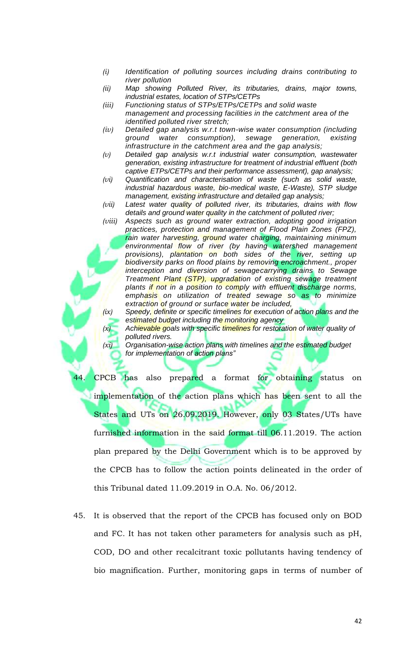- *(i) Identification of polluting sources including drains contributing to river pollution*
- *(ii) Map showing Polluted River, its tributaries, drains, major towns, industrial estates, location of STPs/CETPs*
- *(iii) Functioning status of STPs/ETPs/CETPs and solid waste management and processing facilities in the catchment area of the identified polluted river stretch;*
- *(iv) Detailed gap analysis w.r.t town-wise water consumption (including ground water consumption), sewage generation, existing infrastructure in the catchment area and the gap analysis;*
- *(v) Detailed gap analysis w.r.t industrial water consumption, wastewater generation, existing infrastructure for treatment of industrial effluent (both captive ETPs/CETPs and their performance assessment), gap analysis;*
- *(vi) Quantification and characterisation of waste (such as solid waste, industrial hazardous waste, bio-medical waste, E-Waste), STP sludge management, existing infrastructure and detailed gap analysis;*
- *(vii) Latest water quality of polluted river, its tributaries, drains with flow details and ground water quality in the catchment of polluted river;*
- *(viii) Aspects such as ground water extraction, adopting good irrigation practices, protection and management of Flood Plain Zones (FPZ), rain water harvesting, ground water charging, maintaining minimum environmental flow of river (by having watershed management provisions), plantation on both sides of the river, setting up biodiversity parks on flood plains by removing encroachment., proper interception and diversion of sewagecarrying drains to Sewage Treatment Plant (STP), upgradation of existing sewage treatment plants if not in a position to comply with effluent discharge norms, emphasis on utilization of treated sewage so as to minimize extraction of ground or surface water be included,*

*(ix) Speedy, definite or specific timelines for execution of action plans and the estimated budget including the monitoring agency*

*(x) Achievable goals with specific timelines for restoration of water quality of polluted rivers.*

*(xi) Organisation-wise action plans with timelines and the estimated budget for implementation of action plans"*

CPCB has also prepared a format for obtaining status on implementation of the action plans which has been sent to all the States and UTs on 26.09.2019. However, only 03 States/UTs have furnished information in the said format till 06.11.2019. The action plan prepared by the Delhi Government which is to be approved by the CPCB has to follow the action points delineated in the order of this Tribunal dated 11.09.2019 in O.A. No. 06/2012.

45. It is observed that the report of the CPCB has focused only on BOD and FC. It has not taken other parameters for analysis such as pH, COD, DO and other recalcitrant toxic pollutants having tendency of bio magnification. Further, monitoring gaps in terms of number of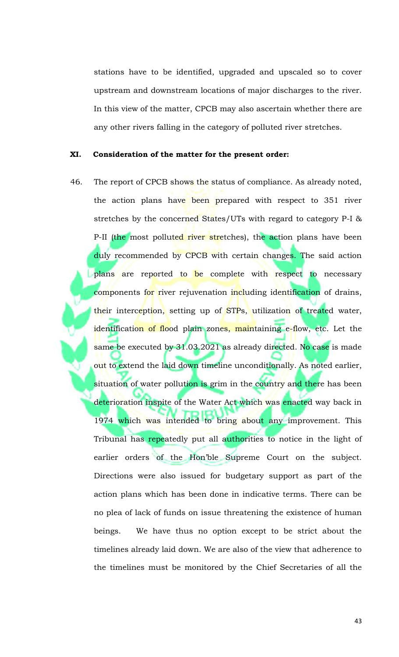stations have to be identified, upgraded and upscaled so to cover upstream and downstream locations of major discharges to the river. In this view of the matter, CPCB may also ascertain whether there are any other rivers falling in the category of polluted river stretches.

#### **XI. Consideration of the matter for the present order:**

46. The report of CPCB shows the status of compliance. As already noted, the action plans have been prepared with respect to 351 river stretches by the concerned States/UTs with regard to category P-I & P-II (the most polluted river stretches), the action plans have been duly recommended by CPCB with certain changes. The said action plans are reported to be complete with respect to necessary components for river rejuvenation including identification of drains, their interception, setting up of STPs, utilization of treated water, identification of flood plain zones, maintaining e-flow, etc. Let the same be executed by 31.03.2021 as already directed. No case is made out to extend the laid down timeline unconditionally. As noted earlier, situation of water pollution is grim in the country and there has been deterioration inspite of the Water Act which was enacted way back in 1974 which was intended to bring about any improvement. This Tribunal has repeatedly put all authorities to notice in the light of earlier orders of the Hon'ble Supreme Court on the subject. Directions were also issued for budgetary support as part of the action plans which has been done in indicative terms. There can be no plea of lack of funds on issue threatening the existence of human beings. We have thus no option except to be strict about the timelines already laid down. We are also of the view that adherence to the timelines must be monitored by the Chief Secretaries of all the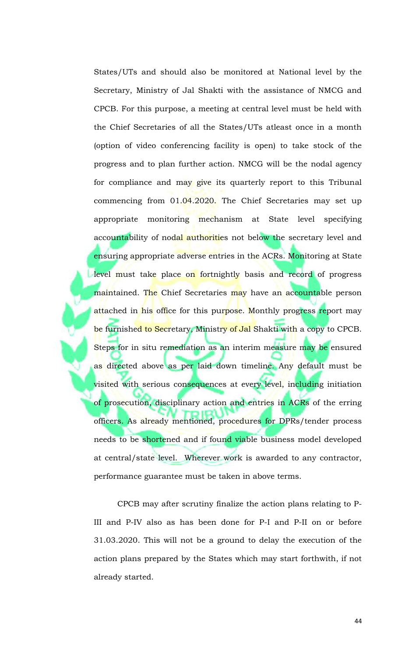States/UTs and should also be monitored at National level by the Secretary, Ministry of Jal Shakti with the assistance of NMCG and CPCB. For this purpose, a meeting at central level must be held with the Chief Secretaries of all the States/UTs atleast once in a month (option of video conferencing facility is open) to take stock of the progress and to plan further action. NMCG will be the nodal agency for compliance and may give its quarterly report to this Tribunal commencing from 01.04.2020. The Chief Secretaries may set up appropriate monitoring mechanism at State level specifying accountability of nodal authorities not below the secretary level and ensuring appropriate adverse entries in the ACRs. Monitoring at State level must take place on fortnightly basis and record of progress maintained. The Chief Secretaries may have an accountable person attached in his office for this purpose. Monthly progress report may be furnished to Secretary, Ministry of Jal Shakti with a copy to CPCB. Steps for in situ remediation as an interim measure may be ensured as directed above as per laid down timeline. Any default must be visited with serious consequences at every level, including initiation of prosecution, disciplinary action and entries in ACRs of the erring officers. As already mentioned, procedures for DPRs/tender process needs to be shortened and if found viable business model developed at central/state level. Wherever work is awarded to any contractor, performance guarantee must be taken in above terms.

CPCB may after scrutiny finalize the action plans relating to P-III and P-IV also as has been done for P-I and P-II on or before 31.03.2020. This will not be a ground to delay the execution of the action plans prepared by the States which may start forthwith, if not already started.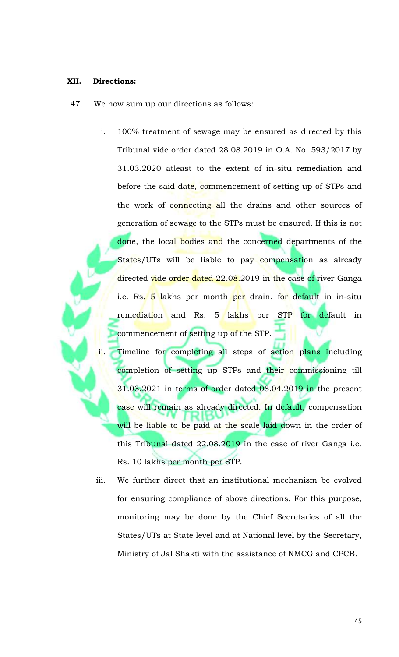#### **XII. Directions:**

- 47. We now sum up our directions as follows:
	- i. 100% treatment of sewage may be ensured as directed by this Tribunal vide order dated 28.08.2019 in O.A. No. 593/2017 by 31.03.2020 atleast to the extent of in-situ remediation and before the said date, commencement of setting up of STPs and the work of connecting all the drains and other sources of generation of sewage to the STPs must be ensured. If this is not done, the local bodies and the concerned departments of the States/UTs will be liable to pay compensation as already directed vide order dated 22.08.2019 in the case of river Ganga i.e. Rs. 5 lakhs per month per drain, for default in in-situ remediation and Rs. 5 lakhs per STP for default in commencement of setting up of the STP.
	- ii. Timeline for completing all steps of action plans including completion of setting up STPs and their commissioning till 31.03.2021 in terms of order dated 08.04.2019 in the present case will remain as already directed. In default, compensation will be liable to be paid at the scale laid down in the order of this Tribunal dated 22.08.2019 in the case of river Ganga i.e. Rs. 10 lakhs per month per STP.
	- iii. We further direct that an institutional mechanism be evolved for ensuring compliance of above directions. For this purpose, monitoring may be done by the Chief Secretaries of all the States/UTs at State level and at National level by the Secretary, Ministry of Jal Shakti with the assistance of NMCG and CPCB.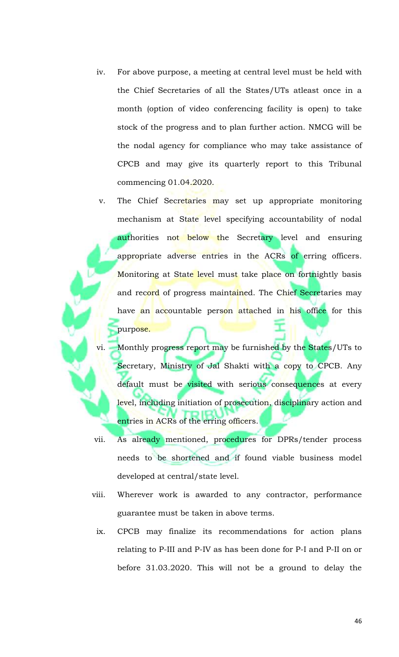- iv. For above purpose, a meeting at central level must be held with the Chief Secretaries of all the States/UTs atleast once in a month (option of video conferencing facility is open) to take stock of the progress and to plan further action. NMCG will be the nodal agency for compliance who may take assistance of CPCB and may give its quarterly report to this Tribunal commencing 01.04.2020.
- v. The Chief Secretaries may set up appropriate monitoring mechanism at State level specifying accountability of nodal authorities not below the Secretary level and ensuring appropriate adverse entries in the ACRs of erring officers. Monitoring at State level must take place on fortnightly basis and record of progress maintained. The Chief Secretaries may have an accountable person attached in his office for this purpose.
- vi. Monthly progress report may be furnished by the States/UTs to Secretary, Ministry of Jal Shakti with a copy to CPCB. Any default must be visited with serious consequences at every level, including initiation of prosecution, disciplinary action and entries in ACRs of the erring officers.
- vii. As already mentioned, procedures for DPRs/tender process needs to be shortened and if found viable business model developed at central/state level.
- viii. Wherever work is awarded to any contractor, performance guarantee must be taken in above terms.
- ix. CPCB may finalize its recommendations for action plans relating to P-III and P-IV as has been done for P-I and P-II on or before 31.03.2020. This will not be a ground to delay the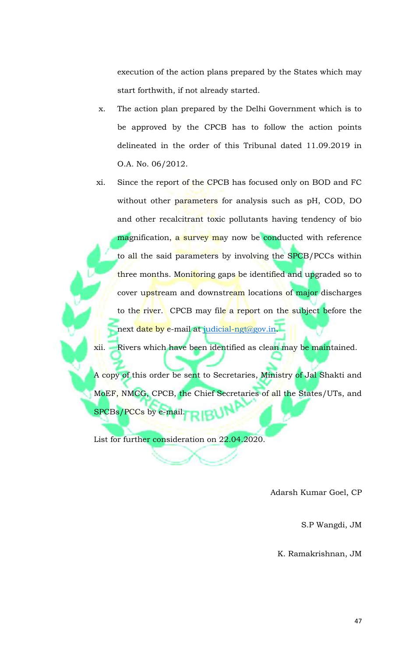execution of the action plans prepared by the States which may start forthwith, if not already started.

- x. The action plan prepared by the Delhi Government which is to be approved by the CPCB has to follow the action points delineated in the order of this Tribunal dated 11.09.2019 in O.A. No. 06/2012.
- xi. Since the report of the CPCB has focused only on BOD and FC without other parameters for analysis such as pH, COD, DO and other recalcitrant toxic pollutants having tendency of bio magnification, a survey may now be conducted with reference to all the said parameters by involving the SPCB/PCCs within three months. Monitoring gaps be identified and upgraded so to cover upstream and downstream locations of major discharges to the river. CPCB may file a report on the subject before the next date by e-mail at judicial-ngt@gov.in.

xii. Rivers which have been identified as clean may be maintained.

A copy of this order be sent to Secretaries, Ministry of Jal Shakti and MoEF, NMCG, CPCB, the Chief Secretaries of all the States/UTs, and SPCBs/PCCs by e-mail.

List for further consideration on 22.04.2020.

Adarsh Kumar Goel, CP

S.P Wangdi, JM

K. Ramakrishnan, JM